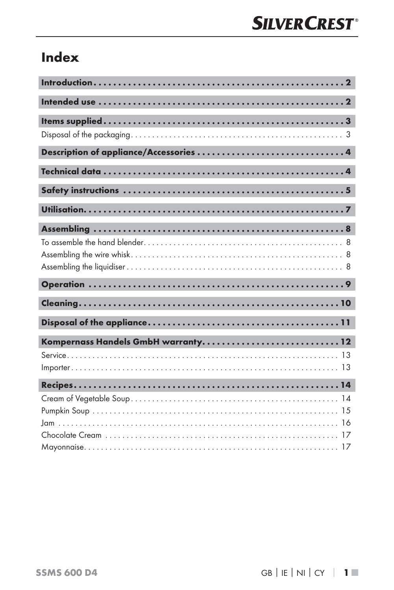### **Index**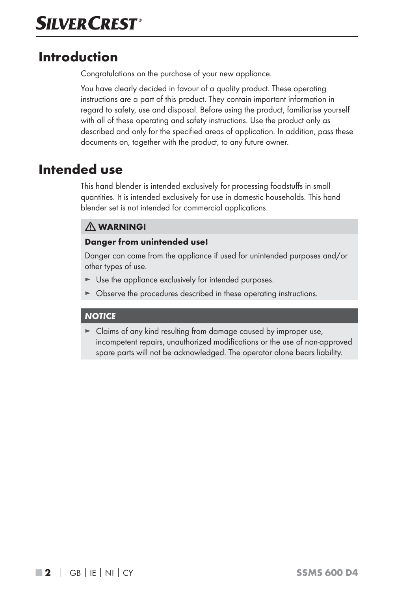### Introduction

Congratulations on the purchase of your new appliance.

You have clearly decided in favour of a quality product. These operating instructions are a part of this product. They contain important information in regard to safety, use and disposal. Before using the product, familiarise yourself with all of these operating and safety instructions. Use the product only as described and only for the specified areas of application. In addition, pass these documents on, together with the product, to any future owner.

### Intended use

This hand blender is intended exclusively for processing foodstuffs in small quantities. It is intended exclusively for use in domestic households. This hand blender set is not intended for commercial applications.

#### WARNING!

#### Danger from unintended use!

Danger can come from the appliance if used for unintended purposes and/or other types of use.

- ► Use the appliance exclusively for intended purposes.
- ► Observe the procedures described in these operating instructions.

#### **NOTICE**

► Claims of any kind resulting from damage caused by improper use, incompetent repairs, unauthorized modifications or the use of non-approved spare parts will not be acknowledged. The operator alone bears liability.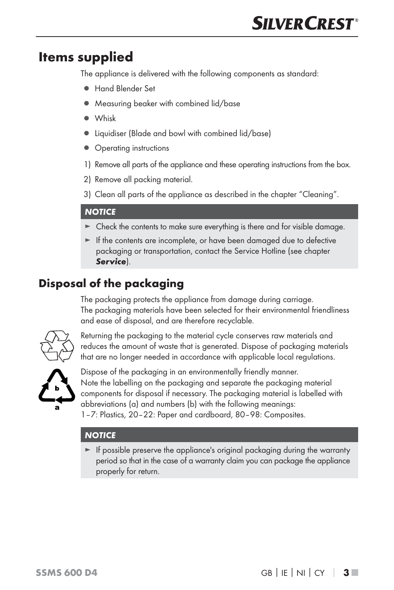### Items supplied

The appliance is delivered with the following components as standard:

- Hand Blender Set
- Measuring beaker with combined lid/base
- Whisk
- Liquidiser (Blade and bowl with combined lid/base)
- Operating instructions
- 1) Remove all parts of the appliance and these operating instructions from the box.
- 2) Remove all packing material.
- 3) Clean all parts of the appliance as described in the chapter "Cleaning".

#### **NOTICE**

- ► Check the contents to make sure everything is there and for visible damage.
- ► If the contents are incomplete, or have been damaged due to defective packaging or transportation, contact the Service Hotline (see chapter Service).

### Disposal of the packaging

The packaging protects the appliance from damage during carriage. The packaging materials have been selected for their environmental friendliness and ease of disposal, and are therefore recyclable.



Returning the packaging to the material cycle conserves raw materials and reduces the amount of waste that is generated. Dispose of packaging materials that are no longer needed in accordance with applicable local regulations.



 Dispose of the packaging in an environmentally friendly manner. Note the labelling on the packaging and separate the packaging material components for disposal if necessary. The packaging material is labelled with abbreviations (a) and numbers (b) with the following meanings:

1–7: Plastics, 20–22: Paper and cardboard, 80–98: Composites.

#### **NOTICE**

► If possible preserve the appliance's original packaging during the warranty period so that in the case of a warranty claim you can package the appliance properly for return.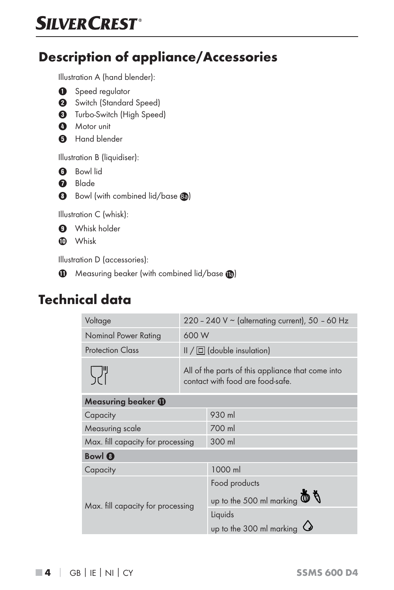# **SILVER CREST®**

### Description of appliance/Accessories

Illustration A (hand blender):



Illustration D (accessories):

**1** Measuring beaker (with combined lid/base 12)

### Technical data

| Voltage                           | 220 - 240 V ~ (alternating current), 50 - 60 Hz                                       |                                           |  |
|-----------------------------------|---------------------------------------------------------------------------------------|-------------------------------------------|--|
| Nominal Power Rating              | 600W                                                                                  |                                           |  |
| <b>Protection Class</b>           | $II / \Box$ (double insulation)                                                       |                                           |  |
|                                   | All of the parts of this appliance that come into<br>contact with food are food-safe. |                                           |  |
| Measuring beaker <b>1</b>         |                                                                                       |                                           |  |
| Capacity                          |                                                                                       | 930 ml                                    |  |
| Measuring scale                   |                                                                                       | 700 ml                                    |  |
| Max. fill capacity for processing | 300 ml                                                                                |                                           |  |
| <b>Bowl O</b>                     |                                                                                       |                                           |  |
| Capacity                          |                                                                                       | 1000 ml                                   |  |
| Max. fill capacity for processing |                                                                                       | Food products<br>up to the 500 ml marking |  |
|                                   |                                                                                       | Liquids<br>up to the 300 ml marking       |  |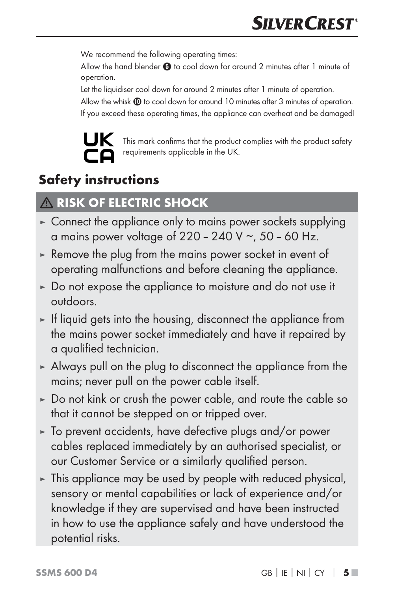We recommend the following operating times:

Allow the hand blender  $\bigoplus$  to cool down for around 2 minutes after 1 minute of operation.

Let the liquidiser cool down for around 2 minutes after 1 minute of operation.

Allow the whisk  $\mathbf{0}$  to cool down for around 10 minutes after 3 minutes of operation.

If you exceed these operating times, the appliance can overheat and be damaged!



This mark confirms that the product complies with the product safety requirements applicable in the UK.

## Safety instructions

### A RISK OF ELECTRIC SHOCK

- ► Connect the appliance only to mains power sockets supplying a mains power voltage of 220 – 240 V ∼, 50 – 60 Hz.
- ► Remove the plug from the mains power socket in event of operating malfunctions and before cleaning the appliance.
- ► Do not expose the appliance to moisture and do not use it outdoors.
- $\blacktriangleright$  If liquid gets into the housing, disconnect the appliance from the mains power socket immediately and have it repaired by a qualified technician.
- ► Always pull on the plug to disconnect the appliance from the mains; never pull on the power cable itself.
- ► Do not kink or crush the power cable, and route the cable so that it cannot be stepped on or tripped over.
- ► To prevent accidents, have defective plugs and/or power cables replaced immediately by an authorised specialist, or our Customer Service or a similarly qualified person.
- ► This appliance may be used by people with reduced physical, sensory or mental capabilities or lack of experience and/or knowledge if they are supervised and have been instructed in how to use the appliance safely and have understood the potential risks.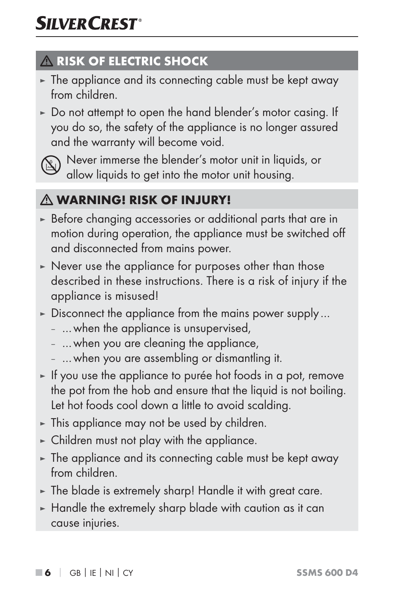### **A RISK OF ELECTRIC SHOCK**

- ► The appliance and its connecting cable must be kept away from children.
- ► Do not attempt to open the hand blender's motor casing. If you do so, the safety of the appliance is no longer assured and the warranty will become void.



 Never immerse the blender's motor unit in liquids, or allow liquids to get into the motor unit housing.

## WARNING! RISK OF INJURY!

- ► Before changing accessories or additional parts that are in motion during operation, the appliance must be switched off and disconnected from mains power.
- ► Never use the appliance for purposes other than those described in these instructions. There is a risk of injury if the appliance is misused!
- ► Disconnect the appliance from the mains power supply …
	- … when the appliance is unsupervised,
	- … when you are cleaning the appliance,
	- … when you are assembling or dismantling it.
- ► If you use the appliance to purée hot foods in a pot, remove the pot from the hob and ensure that the liquid is not boiling. Let hot foods cool down a little to avoid scalding.
- ► This appliance may not be used by children.
- $\triangleright$  Children must not play with the appliance.
- ► The appliance and its connecting cable must be kept away from children.
- ► The blade is extremely sharp! Handle it with great care.
- ► Handle the extremely sharp blade with caution as it can cause injuries.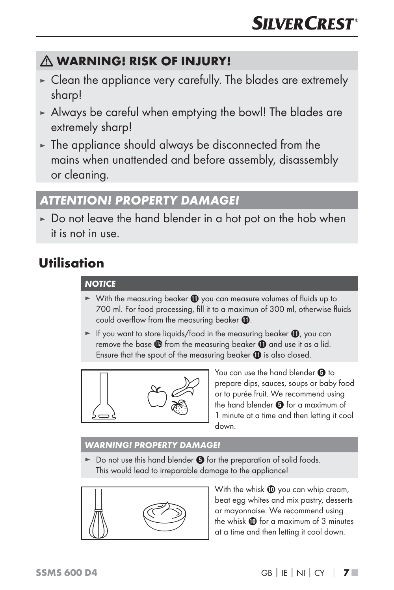### WARNING! RISK OF INJURY!

- ► Clean the appliance very carefully. The blades are extremely sharp!
- ► Always be careful when emptying the bowl! The blades are extremely sharp!
- ► The appliance should always be disconnected from the mains when unattended and before assembly, disassembly or cleaning.

### ATTENTION! PROPERTY DAMAGE!

► Do not leave the hand blender in a hot pot on the hob when it is not in use.

## Utilisation

#### **NOTICE**

- $\blacktriangleright$  With the measuring beaker  $\bm{\mathbb{O}}$  you can measure volumes of fluids up to 700 ml. For food processing, fill it to a maximun of 300 ml, otherwise fluids could overflow from the measuring beaker  $\mathbf{0}$ .
- $\blacktriangleright$  If you want to store liquids/food in the measuring beaker  $\mathbf{0}$ , you can remove the base  $\mathbf{1}$  from the measuring beaker  $\mathbf{0}$  and use it as a lid. Ensure that the spout of the measuring beaker  $\mathbf \Phi$  is also closed.



You can use the hand blender  $\bigoplus$  to prepare dips, sauces, soups or baby food or to purée fruit. We recommend using the hand blender  $\bigoplus$  for a maximum of 1 minute at a time and then letting it cool down.

#### WARNING! PROPERTY DAMAGE!

 $\blacktriangleright$  Do not use this hand blender  $\Theta$  for the preparation of solid foods. This would lead to irreparable damage to the appliance!



With the whisk  **you can whip cream,** beat egg whites and mix pastry, desserts or mayonnaise. We recommend using the whisk  $\mathbf{0}$  for a maximum of 3 minutes at a time and then letting it cool down.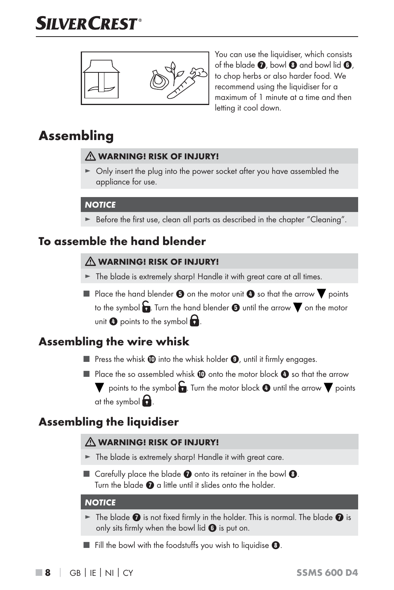# **SILVER CREST®**



You can use the liquidiser, which consists of the blade  $\bullet$ , bowl  $\bullet$  and bowl lid  $\bullet$ . to chop herbs or also harder food. We recommend using the liquidiser for a maximum of 1 minute at a time and then letting it cool down.

### Assembling

#### WARNING! RISK OF INJURY!

► Only insert the plug into the power socket after you have assembled the appliance for use.

#### **NOTICE**

► Before the first use, clean all parts as described in the chapter "Cleaning".

### To assemble the hand blender

#### WARNING! RISK OF INJURY!

- ► The blade is extremely sharp! Handle it with great care at all times.
- Place the hand blender **①** on the motor unit **4** so that the arrow **V** points to the symbol  $\Omega$ . Turn the hand blender  $\Theta$  until the arrow  $\nabla$  on the motor unit  $\bullet$  points to the symbol  $\bullet$ .

### Assembling the wire whisk

- $\blacksquare$  Press the whisk  $\blacksquare$  into the whisk holder  $\blacksquare$ , until it firmly engages.
- Place the so assembled whisk **①** onto the motor block **②** so that the arrow

 $\blacktriangledown$  points to the symbol  $\blacksquare$ . Turn the motor block  $\Omega$  until the arrow  $\blacktriangledown$  points at the symbol  $\Box$ .

### Assembling the liquidiser

#### WARNING! RISK OF INJURY!

- ► The blade is extremely sharp! Handle it with great care.
- **E** Carefully place the blade  $\bullet$  onto its retainer in the bowl  $\bullet$ . Turn the blade  $\bullet$  a little until it slides onto the holder.

#### **NOTICE**

- $\blacktriangleright$  The blade  $\bigcirc$  is not fixed firmly in the holder. This is normal. The blade  $\bigcirc$  is only sits firmly when the bowl lid  $\bullet$  is put on.
- $\blacksquare$  Fill the bowl with the foodstuffs you wish to liquidise  $\blacksquare$ .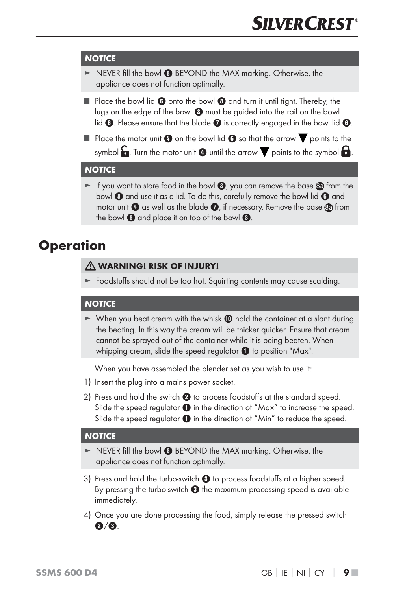#### **NOTICE**

- ► NEVER fill the bowl <sup>1</sup> BEYOND the MAX marking. Otherwise, the appliance does not function optimally.
- Place the bowl lid **the onto the bowl <b>@** and turn it until tight. Thereby, the lugs on the edge of the bowl  $\bullet$  must be guided into the rail on the bowl lid  $\bigodot$ . Please ensure that the blade  $\bigodot$  is correctly engaged in the bowl lid  $\bigodot$ .
- $\blacksquare$  Place the motor unit  $\Omega$  on the bowl lid  $\Omega$  so that the arrow  $\blacktriangledown$  points to the symbol  $\blacksquare$ . Turn the motor unit  $\Omega$  until the arrow  $\nabla$  points to the symbol  $\Omega$ .

#### **NOTICE**

► If you want to store food in the bowl <sup>1</sup> you can remove the base **8** from the bowl  $\boldsymbol{0}$  and use it as a lid. To do this, carefully remove the bowl lid  $\boldsymbol{0}$  and motor unit  $\Omega$  as well as the blade  $\Omega$ , if necessary. Remove the base  $\Omega$  from the bowl  $\bullet$  and place it on top of the bowl  $\bullet$ .

### **Operation**

#### WARNING! RISK OF INJURY!

► Foodstuffs should not be too hot. Squirting contents may cause scalding.

#### **NOTICE**

 $\triangleright$  When you beat cream with the whisk  $\mathbf{\Phi}$  hold the container at a slant during the beating. In this way the cream will be thicker quicker. Ensure that cream cannot be sprayed out of the container while it is being beaten. When whipping cream, slide the speed regulator  $\bullet$  to position "Max".

When you have assembled the blender set as you wish to use it:

- 1) Insert the plug into a mains power socket.
- 2) Press and hold the switch **2** to process foodstuffs at the standard speed. Slide the speed regulator  $\bullet$  in the direction of "Max" to increase the speed. Slide the speed regulator  $\bullet$  in the direction of "Min" to reduce the speed.

#### **NOTICE**

- ► NEVER fill the bowl <sup>1</sup> BEYOND the MAX marking. Otherwise, the appliance does not function optimally.
- 3) Press and hold the turbo-switch  $\bigcirc$  to process foodstuffs at a higher speed. By pressing the turbo-switch  $\bigcirc$  the maximum processing speed is available immediately.
- 4) Once you are done processing the food, simply release the pressed switch  $Q/\mathbf{0}$ .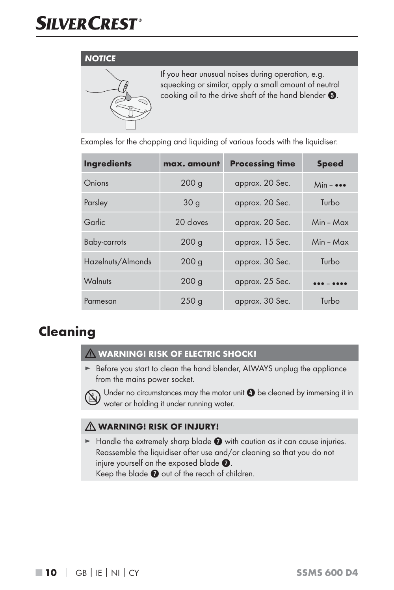# **SILVER CREST®**

#### **NOTICE**



If you hear unusual noises during operation, e.g. squeaking or similar, apply a small amount of neutral cooking oil to the drive shaft of the hand blender  $\mathbf \Theta$ .

Examples for the chopping and liquiding of various foods with the liquidiser:

| <b>Ingredients</b> | max. amount      | <b>Processing time</b> | <b>Speed</b>                    |
|--------------------|------------------|------------------------|---------------------------------|
| Onions             | 200 <sub>g</sub> | approx. 20 Sec.        | $Min - \bullet \bullet \bullet$ |
| Parsley            | 30 <sub>g</sub>  | approx. 20 Sec.        | Turbo                           |
| Garlic             | 20 cloves        | approx. 20 Sec.        | $Min - Max$                     |
| Baby-carrots       | 200 <sub>g</sub> | approx. 15 Sec.        | $Min - Max$                     |
| Hazelnuts/Almonds  | 200 <sub>g</sub> | approx. 30 Sec.        | Turbo                           |
| Walnuts            | 200 <sub>g</sub> | approx. 25 Sec.        |                                 |
| Parmesan           | 250g             | approx. 30 Sec.        | Turbo                           |

### Cleaning

#### A WARNING! RISK OF ELECTRIC SHOCK!

► Before you start to clean the hand blender, ALWAYS unplug the appliance from the mains power socket.



Under no circumstances may the motor unit  $\bullet$  be cleaned by immersing it in water or holding it under running water.

#### WARNING! RISK OF INJURY!

 $\blacktriangleright$  Handle the extremely sharp blade  $\bigcirc$  with caution as it can cause injuries. Reassemble the liquidiser after use and/or cleaning so that you do not injure yourself on the exposed blade  $\bullet$ . Keep the blade  $\bullet$  out of the reach of children.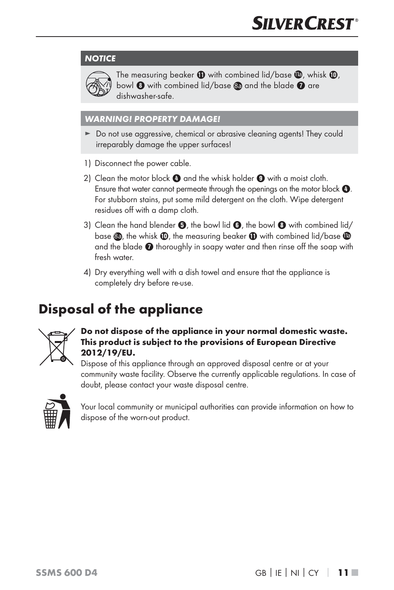#### **NOTICE**



The measuring beaker  $\mathbf 1$  with combined lid/base  $\mathbf 1$ , whisk  $\mathbf 1$ , bowl  $\boldsymbol{0}$  with combined lid/base  $\boldsymbol{3}$  and the blade  $\boldsymbol{0}$  are dishwasher-safe.

#### WARNING! PROPERTY DAMAGE!

- ► Do not use aggressive, chemical or abrasive cleaning agents! They could irreparably damage the upper surfaces!
- 1) Disconnect the power cable.
- 2) Clean the motor block  $\bullet$  and the whisk holder  $\bullet$  with a moist cloth. Ensure that water cannot permeate through the openings on the motor block  $\bullet$ . For stubborn stains, put some mild detergent on the cloth. Wipe detergent residues off with a damp cloth.
- 3) Clean the hand blender  $\Theta$ , the bowl lid  $\Theta$ , the bowl  $\Theta$  with combined lid/ base  $\mathbf{a}$ , the whisk  $\mathbf{0}$ , the measuring beaker  $\mathbf{0}$  with combined lid/base  $\mathbf{1}$ and the blade  $\bullet$  thoroughly in soapy water and then rinse off the soap with fresh water.
- 4) Dry everything well with a dish towel and ensure that the appliance is completely dry before re-use.

### Disposal of the appliance



#### Do not dispose of the appliance in your normal domestic waste. This product is subject to the provisions of European Directive 2012/19/EU.

Dispose of this appliance through an approved disposal centre or at your community waste facility. Observe the currently applicable regulations. In case of doubt, please contact your waste disposal centre.



 Your local community or municipal authorities can provide information on how to dispose of the worn-out product.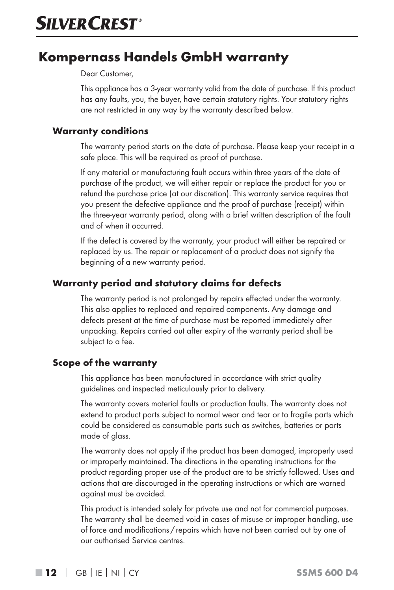### Kompernass Handels GmbH warranty

#### Dear Customer,

This appliance has a 3-year warranty valid from the date of purchase. If this product has any faults, you, the buyer, have certain statutory rights. Your statutory rights are not restricted in any way by the warranty described below.

#### Warranty conditions

The warranty period starts on the date of purchase. Please keep your receipt in a safe place. This will be required as proof of purchase.

If any material or manufacturing fault occurs within three years of the date of purchase of the product, we will either repair or replace the product for you or refund the purchase price (at our discretion). This warranty service requires that you present the defective appliance and the proof of purchase (receipt) within the three-year warranty period, along with a brief written description of the fault and of when it occurred.

If the defect is covered by the warranty, your product will either be repaired or replaced by us. The repair or replacement of a product does not signify the beginning of a new warranty period.

#### Warranty period and statutory claims for defects

The warranty period is not prolonged by repairs effected under the warranty. This also applies to replaced and repaired components. Any damage and defects present at the time of purchase must be reported immediately after unpacking. Repairs carried out after expiry of the warranty period shall be subject to a fee.

#### Scope of the warranty

This appliance has been manufactured in accordance with strict quality guidelines and inspected meticulously prior to delivery.

The warranty covers material faults or production faults. The warranty does not extend to product parts subject to normal wear and tear or to fragile parts which could be considered as consumable parts such as switches, batteries or parts made of glass.

The warranty does not apply if the product has been damaged, improperly used or improperly maintained. The directions in the operating instructions for the product regarding proper use of the product are to be strictly followed. Uses and actions that are discouraged in the operating instructions or which are warned against must be avoided.

This product is intended solely for private use and not for commercial purposes. The warranty shall be deemed void in cases of misuse or improper handling, use of force and modifications / repairs which have not been carried out by one of our authorised Service centres.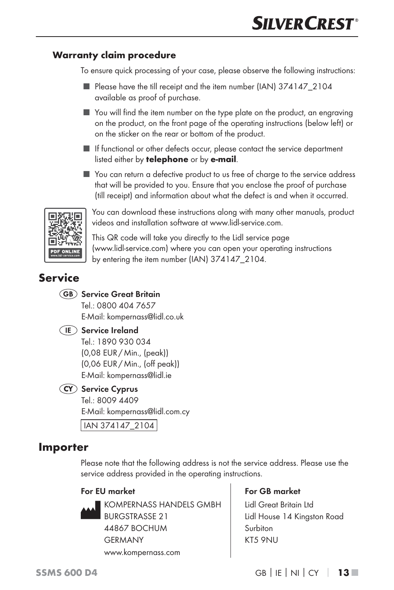#### Warranty claim procedure

To ensure quick processing of your case, please observe the following instructions:

- Please have the till receipt and the item number (IAN) 374147\_2104 available as proof of purchase.
- You will find the item number on the type plate on the product, an engraving on the product, on the front page of the operating instructions (below left) or on the sticker on the rear or bottom of the product.
- If functional or other defects occur, please contact the service department listed either by **telephone** or by **e-mail**.
- You can return a defective product to us free of charge to the service address that will be provided to you. Ensure that you enclose the proof of purchase (till receipt) and information about what the defect is and when it occurred.



 You can download these instructions along with many other manuals, product videos and installation software at www.lidl-service.com.

 This QR code will take you directly to the Lidl service page (www.lidl-service.com) where you can open your operating instructions by entering the item number (IAN) 374147\_2104.

### Service

#### **GB** Service Great Britain

Tel.: 0800 404 7657 E-Mail: kompernass@lidl.co.uk

#### Service Ireland

Tel.: 1890 930 034 (0,08 EUR / Min., (peak)) (0,06 EUR / Min., (off peak)) E-Mail: kompernass@lidl.ie

### CY Service Cyprus

Tel.: 8009 4409 E-Mail: kompernass@lidl.com.cy

IAN 374147\_2104

#### Importer

Please note that the following address is not the service address. Please use the service address provided in the operating instructions.



KOMPERNASS HANDELS GMBH BURGSTRASSE 21 44867 BOCHUM GERMANY www.kompernass.com

#### For EU market **For GB** market

Lidl Great Britain Ltd Lidl House 14 Kingston Road Surbiton KT5 9NU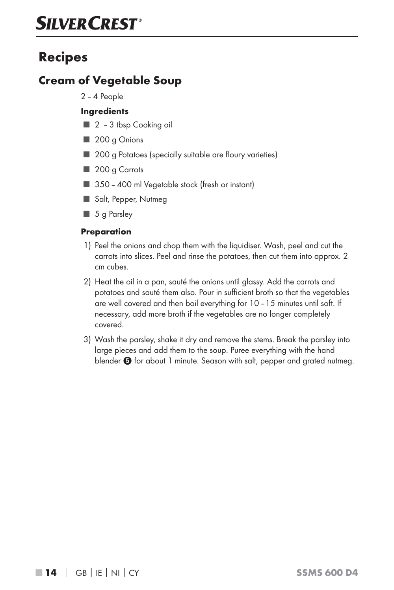### Recipes

### Cream of Vegetable Soup

2 – 4 People

#### **Ingredients**

- 2 3 tbsp Cooking oil
- 200 g Onions
- 200 g Potatoes (specially suitable are floury varieties)
- 200 g Carrots
- 350 400 ml Vegetable stock (fresh or instant)
- Salt, Pepper, Nutmeg
- 5 g Parsley

#### **Preparation**

- 1) Peel the onions and chop them with the liquidiser. Wash, peel and cut the carrots into slices. Peel and rinse the potatoes, then cut them into approx. 2 cm cubes.
- 2) Heat the oil in a pan, sauté the onions until glassy. Add the carrots and potatoes and sauté them also. Pour in sufficient broth so that the vegetables are well covered and then boil everything for 10 –15 minutes until soft. If necessary, add more broth if the vegetables are no longer completely covered.
- 3) Wash the parsley, shake it dry and remove the stems. Break the parsley into large pieces and add them to the soup. Puree everything with the hand blender  $\bigoplus$  for about 1 minute. Season with salt, pepper and grated nutmeg.

■ 14 │ GB│IE│NI│CY SSMS 600 D4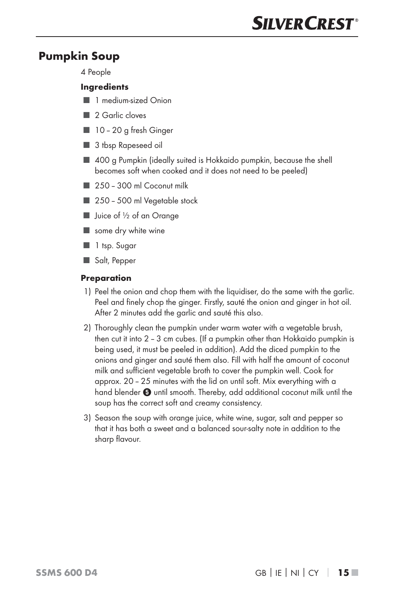# **SILVER CREST®**

#### Pumpkin Soup

4 People

#### **Ingredients**

- 1 medium-sized Onion
- 2 Garlic cloves
- 10 20 g fresh Ginger
- 3 tbsp Rapeseed oil
- 400 a Pumpkin (ideally suited is Hokkaido pumpkin, because the shell becomes soft when cooked and it does not need to be peeled)
- 250 300 ml Coconut milk
- 250 500 ml Vegetable stock
- Juice of ½ of an Orange
- some dry white wine
- 1 tsp. Sugar
- Salt, Pepper

#### Preparation

- 1) Peel the onion and chop them with the liquidiser, do the same with the garlic. Peel and finely chop the ginger. Firstly, sauté the onion and ginger in hot oil. After 2 minutes add the garlic and sauté this also.
- 2) Thoroughly clean the pumpkin under warm water with a vegetable brush, then cut it into 2 – 3 cm cubes. (If a pumpkin other than Hokkaido pumpkin is being used, it must be peeled in addition). Add the diced pumpkin to the onions and ginger and sauté them also. Fill with half the amount of coconut milk and sufficient vegetable broth to cover the pumpkin well. Cook for approx. 20 – 25 minutes with the lid on until soft. Mix everything with a hand blender  $\bigoplus$  until smooth. Thereby, add additional coconut milk until the soup has the correct soft and creamy consistency.
- 3) Season the soup with orange juice, white wine, sugar, salt and pepper so that it has both a sweet and a balanced sour-salty note in addition to the sharp flavour.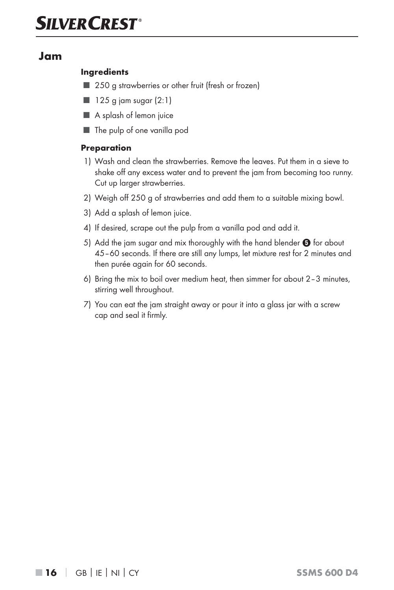#### Jam

#### **Ingredients**

- 250 g strawberries or other fruit (fresh or frozen)
- $\blacksquare$  125 g jam sugar (2:1)
- A splash of lemon juice
- The pulp of one vanilla pod

#### **Preparation**

- 1) Wash and clean the strawberries. Remove the leaves. Put them in a sieve to shake off any excess water and to prevent the jam from becoming too runny. Cut up larger strawberries.
- 2) Weigh off 250 g of strawberries and add them to a suitable mixing bowl.
- 3) Add a splash of lemon juice.
- 4) If desired, scrape out the pulp from a vanilla pod and add it.
- 5) Add the jam sugar and mix thoroughly with the hand blender  $\bullet$  for about 45–60 seconds. If there are still any lumps, let mixture rest for 2 minutes and then purée again for 60 seconds.
- 6) Bring the mix to boil over medium heat, then simmer for about 2–3 minutes, stirring well throughout.
- 7) You can eat the jam straight away or pour it into a glass jar with a screw cap and seal it firmly.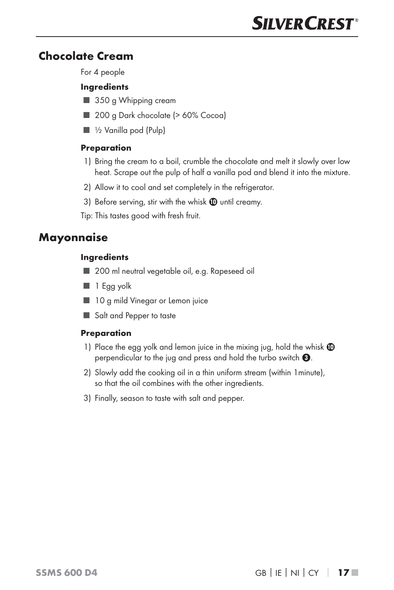#### Chocolate Cream

For 4 people

#### **Ingredients**

- 350 g Whipping cream
- 200 g Dark chocolate (> 60% Cocoa)
- ½ Vanilla pod (Pulp)

#### **Preparation**

- 1) Bring the cream to a boil, crumble the chocolate and melt it slowly over low heat. Scrape out the pulp of half a vanilla pod and blend it into the mixture.
- 2) Allow it to cool and set completely in the refrigerator.
- 3) Before serving, stir with the whisk  **until creamy.**

Tip: This tastes good with fresh fruit.

#### Mayonnaise

#### **Ingredients**

- 200 ml neutral vegetable oil, e.g. Rapeseed oil
- 1 Egg yolk
- 10 g mild Vinegar or Lemon juice
- Salt and Pepper to taste

#### **Preparation**

- 1) Place the egg yolk and lemon juice in the mixing jug, hold the whisk  $\mathbf D$ perpendicular to the jug and press and hold the turbo switch  $\bigcirc$ .
- 2) Slowly add the cooking oil in a thin uniform stream (within 1minute), so that the oil combines with the other ingredients.
- 3) Finally, season to taste with salt and pepper.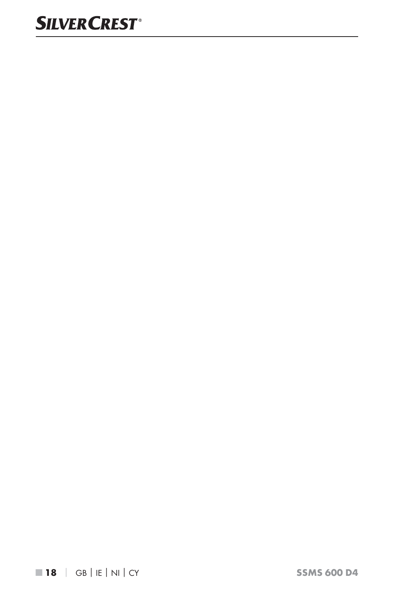■ 18 │ GB│IE│NI│CY SSMS 600 D4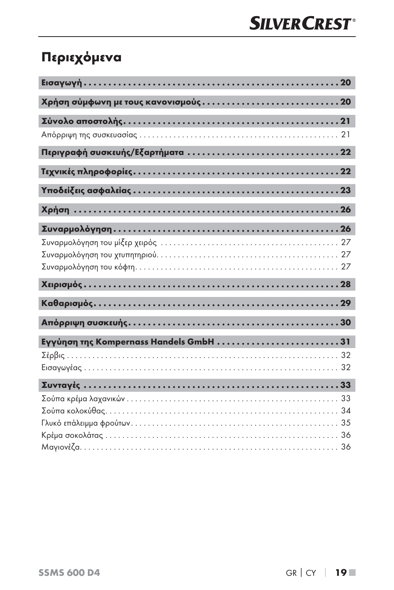# Περιεχόμενα

| Eyyunon The Kompernass Handels GmbH 31 |
|----------------------------------------|
|                                        |
|                                        |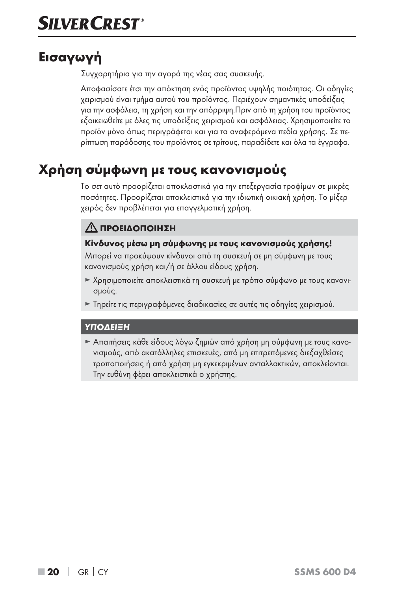### Εισαγωγή

Συγχαρητήρια για την αγορά της νέας σας συσκευής.

Αποφασίσατε έτσι την απόκτηση ενός προϊόντος υψηλής ποιότητας. Οι οδηγίες χειρισμού είναι τμήμα αυτού του προϊόντος. Περιέχουν σημαντικές υποδείξεις για την ασφάλεια, τη χρήση και την απόρριψη.Πριν από τη χρήση του προϊόντος εξοικειωθείτε με όλες τις υποδείξεις χειρισμού και ασφάλειας. Χρησιμοποιείτε το προϊόν μόνο όπως περιγράφεται και για τα αναφερόμενα πεδία χρήσης. Σε περίπτωση παράδοσης του προϊόντος σε τρίτους, παραδίδετε και όλα τα έγγραφα.

### Χρήση σύμφωνη με τους κανονισμούς

Το σετ αυτό προορίζεται αποκλειστικά για την επεξεργασία τροφίμων σε μικρές ποσότητες. Προορίζεται αποκλειστικά για την ιδιωτική οικιακή χρήση. Το μίξερ χειρός δεν προβλέπεται για επαγγελματική χρήση.

### ΠΡΟΕΙΔΟΠΟΙΗΣΗ

Κίνδυνος μέσω μη σύμφωνης με τους κανονισμούς χρήσης! Μπορεί να προκύψουν κίνδυνοι από τη συσκευή σε μη σύμφωνη με τους κανονισμούς χρήση και/ή σε άλλου είδους χρήση.

- ► Χρησιμοποιείτε αποκλειστικά τη συσκευή με τρόπο σύμφωνο με τους κανονισμούς.
- ► Τηρείτε τις περιγραφόμενες διαδικασίες σε αυτές τις οδηγίες χειρισμού.

#### ΥΠΟΔΕΙΞΗ

► Απαιτήσεις κάθε είδους λόγω ζημιών από χρήση μη σύμφωνη με τους κανονισμούς, από ακατάλληλες επισκευές, από μη επιτρεπόμενες διεξαχθείσες τροποποιήσεις ή από χρήση μη εγκεκριμένων ανταλλακτικών, αποκλείονται. Την ευθύνη φέρει αποκλειστικά ο χρήστης.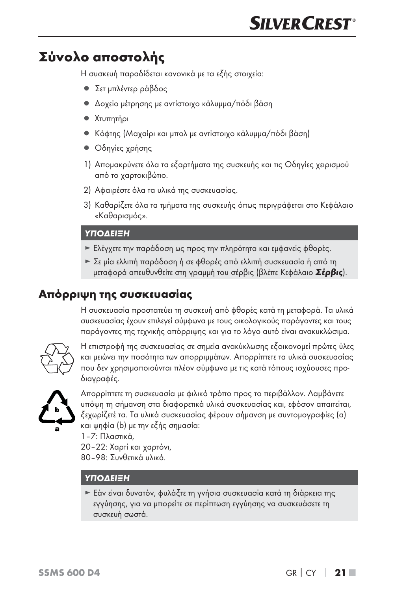### Σύνολο αποστολής

Η συσκευή παραδίδεται κανονικά με τα εξής στοιχεία:

- ▯ Σετ μπλέντερ ράβδος
- ▯ Δοχείο μέτρησης με αντίστοιχο κάλυμμα/πόδι βάση
- ▯ Χτυπητήρι
- ▯ Κόφτης (Μαχαίρι και μπολ με αντίστοιχο κάλυμμα/πόδι βάση)
- ▯ Οδηγίες χρήσης
- 1) Απομακρύνετε όλα τα εξαρτήματα της συσκευής και τις Οδηγίες χειρισμού από το χαρτοκιβώτιο.
- 2) Αφαιρέστε όλα τα υλικά της συσκευασίας.
- 3) Καθαρίζετε όλα τα τμήματα της συσκευής όπως περιγράφεται στο Κεφάλαιο «Καθαρισμός».

#### ΥΠΟΔΕΙΞΗ

- ► Ελέγχετε την παράδοση ως προς την πληρότητα και εμφανείς φθορές.
- ► Σε μία ελλιπή παράδοση ή σε φθορές από ελλιπή συσκευασία ή από τη μεταφορά απευθυνθείτε στη γραμμή του σέρβις (βλέπε Κεφάλαιο Σέρβις).

### Απόρριψη της συσκευασίας

Η συσκευασία προστατεύει τη συσκευή από φθορές κατά τη μεταφορά. Τα υλικά συσκευασίας έχουν επιλεγεί σύμφωνα με τους οικολογικούς παράγοντες και τους παράγοντες της τεχνικής απόρριψης και για το λόγο αυτό είναι ανακυκλώσιμα.



Η επιστροφή της συσκευασίας σε σημεία ανακύκλωσης εξοικονομεί πρώτες ύλες και μειώνει την ποσότητα των απορριμμάτων. Απορρίπτετε τα υλικά συσκευασίας που δεν χρησιμοποιούνται πλέον σύμφωνα με τις κατά τόπους ισχύουσες προδιαγραφές.



 Απορρίπτετε τη συσκευασία με φιλικό τρόπο προς το περιβάλλον. Λαμβάνετε υπόψη τη σήμανση στα διαφορετικά υλικά συσκευασίας και, εφόσον απαιτείται, ξεχωρίζετέ τα. Τα υλικά συσκευασίας φέρουν σήμανση με συντομογραφίες (a) και ψηφία (b) με την εξής σημασία:

1–7: Πλαστικά,

20–22: Χαρτί και χαρτόνι,

80–98: Συνθετικά υλικά.

#### ΥΠΟΔΕΙΞΗ

► Εάν είναι δυνατόν, φυλάξτε τη γνήσια συσκευασία κατά τη διάρκεια της εγγύησης, για να μπορείτε σε περίπτωση εγγύησης να συσκευάσετε τη συσκευή σωστά.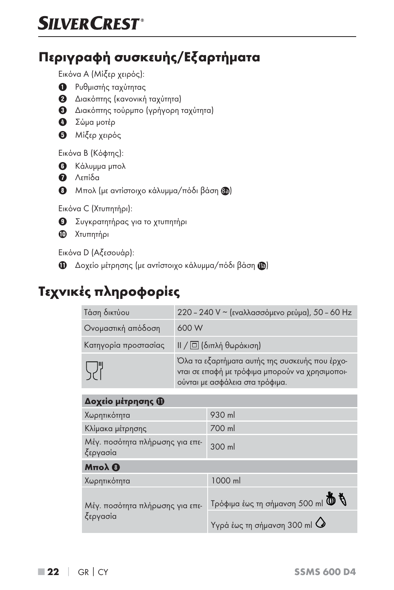# **SILVER CREST®**

### Περιγραφή συσκευής/Εξαρτήματα

Εικόνα Α (Μίξερ χειρός):

- 1 Ρυθμιστής ταχύτητας
- 2 Διακόπτης (κανονική ταχύτητα)
- 3 Διακόπτης τούρμπο (γρήγορη ταχύτητα)
- 4 Σώμα μοτέρ
- 5 Μίξερ χειρός

Εικόνα Β (Κόφτης):

- 6 Κάλυμμα μπολ
- 7 Λεπίδα
- 8 Μπολ (με αντίστοιχο κάλυμμα/πόδι βάση 8a)

Εικόνα C (Χτυπητήρι):

- 9 Συγκρατητήρας για το χτυπητήρι
- 0 Χτυπητήρι

Εικόνα D (Αξεσουάρ):

**Φ** Δοχείο μέτρησης (με αντίστοιχο κάλυμμα/πόδι βάση **18**)

## Τεχνικές πληροφορίες

| Τάση δικτύου         | 220 - 240 V ~ (εναλλασσόμενο ρεύμα), 50 - 60 Hz                                                                                      |
|----------------------|--------------------------------------------------------------------------------------------------------------------------------------|
| Ονομαστική απόδοση   | 600 W                                                                                                                                |
| Κατηγορία προστασίας |                                                                                                                                      |
| リッ                   | Όλα τα εξαρτήματα αυτής της συσκευής που έρχο-<br>νται σε επαφή με τρόφιμα μπορούν να χρησιμοποι-<br>ούνται με ασφάλεια στα τρόφιμα. |

| Δοχείο μέτρησης Φ                           |                                                                  |  |  |
|---------------------------------------------|------------------------------------------------------------------|--|--|
| Χωρητικότητα                                | 930 ml                                                           |  |  |
| Κλίμακα μέτρησης                            | 700 ml                                                           |  |  |
| Μέγ. ποσότητα πλήρωσης για επε-<br>ξεργασία | 300 ml                                                           |  |  |
| Мпол <sup>6</sup>                           |                                                                  |  |  |
| Χωρητικότητα                                | 1000 ml                                                          |  |  |
| Μέγ. ποσότητα πλήρωσης για επε-<br>ξεργασία | Τρόφιμα έως τη σήμανση 500 ml $\bigoplus\limits_{\sim}^{\infty}$ |  |  |
|                                             | Υγρά έως τη σήμανση 300 ml $\circledcirc$                        |  |  |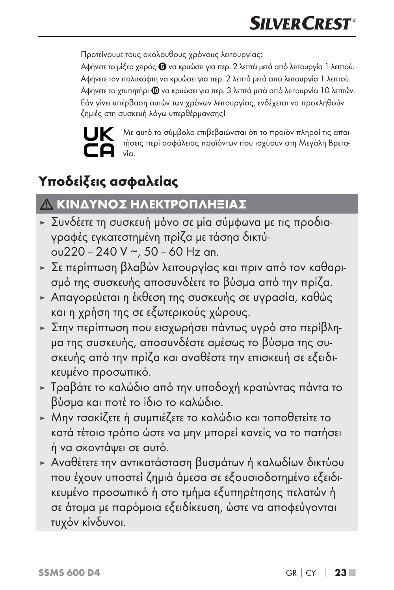Προτείνουμε τους ακόλουθους χρόνους λειτουργίας:

Αφήνετε το μίξερ χειρός <sup>5</sup> να κρυώσει για περ. 2 λεπτά μετά από λειτουργία 1 λεπτού. Αφήνετε τον πολυκόφτη να κρυώσει για περ. 2 λεπτά μετά από λειτουργία 1 λεπτού. Αφήνετε το χτυπητήρι 0 να κρυώσει για περ. 3 λεπτά μετά από λειτουργία 10 λεπτών. Εάν γίνει υπέρβαση αυτών των χρόνων λειτουργίας, ενδέχεται να προκληθούν ζημιές στη συσκευή λόγω υπερθέρμανσης!



Με αυτό το σύμβολο επιβεβαιώνεται ότι το προϊόν πληροί τις απαιτήσεις περί ασφάλειας προϊόντων που ισχύουν στη Μεγάλη Βρετανία.

# Υποδείξεις ασφαλείας

## ΚΙΝΔΥΝΟΣ ΗΛΕΚΤΡΟΠΛΗΞΙΑΣ

- ► Συνδέετε τη συσκευή μόνο σε μία σύμφωνα με τις προδιαγραφές εγκατεστημένη πρίζα με τάσηa δικτύου220 – 240 V ∼, 50 – 60 Hz an.
- ► Σε περίπτωση βλαβών λειτουργίας και πριν από τον καθαρισμό της συσκευής αποσυνδέετε το βύσμα από την πρίζα.
- ► Απαγορεύεται η έκθεση της συσκευής σε υγρασία, καθώς και η χρήση της σε εξωτερικούς χώρους.
- ► Στην περίπτωση που εισχωρήσει πάντως υγρό στο περίβλημα της συσκευής, αποσυνδέστε αμέσως το βύσμα της συσκευής από την πρίζα και αναθέστε την επισκευή σε εξειδικευμένο προσωπικό.
- ► Τραβάτε το καλώδιο από την υποδοχή κρατώντας πάντα το βύσμα και ποτέ το ίδιο το καλώδιο.
- ► Μην τσακίζετε ή συμπιέζετε το καλώδιο και τοποθετείτε το κατά τέτοιο τρόπο ώστε να μην μπορεί κανείς να το πατήσει ή να σκοντάψει σε αυτό.
- ► Αναθέτετε την αντικατάσταση βυσμάτων ή καλωδίων δικτύου που έχουν υποστεί ζημιά άμεσα σε εξουσιοδοτημένο εξειδικευμένο προσωπικό ή στο τμήμα εξυπηρέτησης πελατών ή σε άτομα με παρόμοια εξειδίκευση, ώστε να αποφεύγονται τυχόν κίνδυνοι.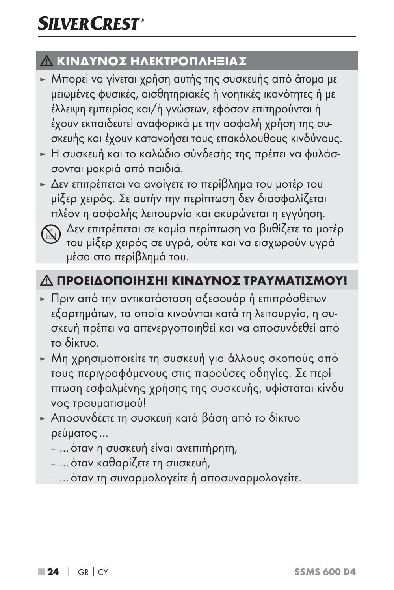## ΚΙΝΔΥΝΟΣ ΗΛΕΚΤΡΟΠΛΗΞΙΑΣ

- ► Μπορεί να γίνεται χρήση αυτής της συσκευής από άτομα με μειωμένες φυσικές, αισθητηριακές ή νοητικές ικανότητες ή με έλλειψη εμπειρίας και/ή γνώσεων, εφόσον επιτηρούνται ή έχουν εκπαιδευτεί αναφορικά με την ασφαλή χρήση της συσκευής και έχουν κατανοήσει τους επακόλουθους κινδύνους.
- ► Η συσκευή και το καλώδιο σύνδεσής της πρέπει να φυλάσσονται μακριά από παιδιά.
- ► Δεν επιτρέπεται να ανοίγετε το περίβλημα του μοτέρ του μίξερ χειρός. Σε αυτήν την περίπτωση δεν διασφαλίζεται πλέον η ασφαλής λειτουργία και ακυρώνεται η εγγύηση.



Δεν επιτρέπεται σε καμία περίπτωση να βυθίζετε το μοτέρ του μίξερ χειρός σε υγρά, ούτε και να εισχωρούν υγρά μέσα στο περίβλημά του.

### ΠΡΟΕΙΔΟΠΟΙΗΣΗ! ΚΙΝΔΥΝΟΣ ΤΡΑΥΜΑΤΙΣΜΟΥ!

- ► Πριν από την αντικατάσταση αξεσουάρ ή επιπρόσθετων εξαρτημάτων, τα οποία κινούνται κατά τη λειτουργία, η συσκευή πρέπει να απενεργοποιηθεί και να αποσυνδεθεί από το δίκτυο.
- ► Μη χρησιμοποιείτε τη συσκευή για άλλους σκοπούς από τους περιγραφόμενους στις παρούσες οδηγίες. Σε περίπτωση εσφαλμένης χρήσης της συσκευής, υφίσταται κίνδυνος τραυματισμού!
- ► Αποσυνδέετε τη συσκευή κατά βάση από το δίκτυο ρεύματος …
	- … όταν η συσκευή είναι ανεπιτήρητη,
	- … όταν καθαρίζετε τη συσκευή,
	- … όταν τη συναρμολογείτε ή αποσυναρμολογείτε.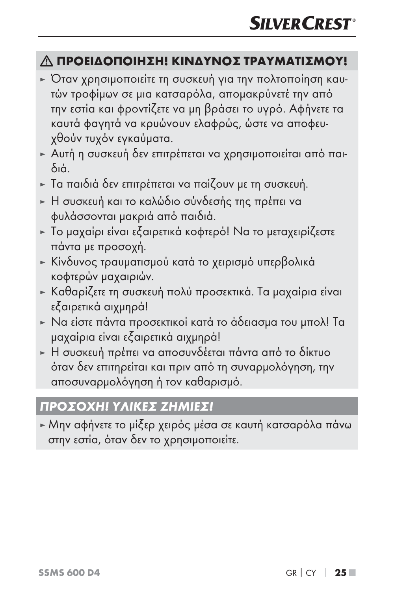### ΠΡΟΕΙΔΟΠΟΙΗΣΗ! ΚΙΝΔΥΝΟΣ ΤΡΑΥΜΑΤΙΣΜΟΥ!

- ► Όταν χρησιμοποιείτε τη συσκευή για την πολτοποίηση καυτών τροφίμων σε μια κατσαρόλα, απομακρύνετέ την από την εστία και φροντίζετε να μη βράσει το υγρό. Αφήνετε τα καυτά φαγητά να κρυώνουν ελαφρώς, ώστε να αποφευχθούν τυχόν εγκαύματα.
- ► Αυτή η συσκευή δεν επιτρέπεται να χρησιμοποιείται από παιδιά.
- ► Τα παιδιά δεν επιτρέπεται να παίζουν με τη συσκευή.
- ► Η συσκευή και το καλώδιο σύνδεσής της πρέπει να φυλάσσονται μακριά από παιδιά.
- ► Το μαχαίρι είναι εξαιρετικά κοφτερό! Να το μεταχειρίζεστε πάντα με προσοχή.
- ► Κίνδυνος τραυματισμού κατά το χειρισμό υπερβολικά κοφτερών μαχαιριών.
- ► Καθαρίζετε τη συσκευή πολύ προσεκτικά. Τα μαχαίρια είναι εξαιρετικά αιχμηρά!
- ► Να είστε πάντα προσεκτικοί κατά το άδειασμα του μπολ! Τα μαχαίρια είναι εξαιρετικά αιχμηρά!
- ► Η συσκευή πρέπει να αποσυνδέεται πάντα από το δίκτυο όταν δεν επιτηρείται και πριν από τη συναρμολόγηση, την αποσυναρμολόγηση ή τον καθαρισμό.

### ΠΡΟΣΟΧΗ! ΥΛΙΚΕΣ ΖΗΜΙΕΣ!

► Μην αφήνετε το μίξερ χειρός μέσα σε καυτή κατσαρόλα πάνω στην εστία, όταν δεν το χρησιμοποιείτε.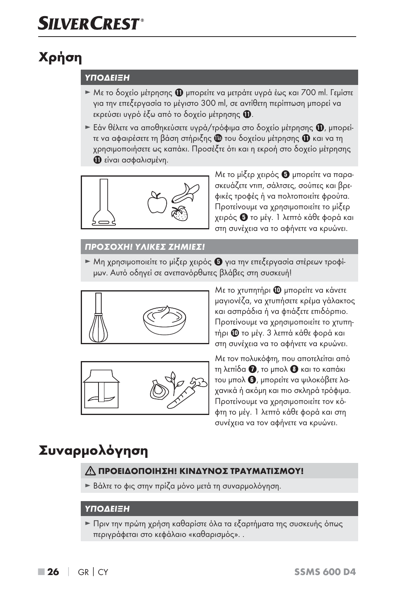# **SIIVER CREST®**

# Χρήση

#### ΥΠΟΔΕΙΞΗ

- ► Με το δοχείο μέτρησης  $\bf{①}$  μπορείτε να μετράτε υγρά έως και 700 ml. Γεμίστε για την επεξεργασία το μέγιστο 300 ml, σε αντίθετη περίπτωση μπορεί να εκρεύσει υγρό έξω από το δοχείο μέτρησης  $\bm{0}$ .
- ► Εάν θέλετε να αποθηκεύσετε υνρά/τρόφιμα στο δοχείο μέτρησης  $\bf{0}$ , μπορείτε να αφαιρέσετε τη βάση στήριξης  $\mathbf \Phi$  του δοχείου μέτρησης  $\mathbf \Phi$  και να τη χρησιμοποιήσετε ως καπάκι. Προσέξτε ότι και η εκροή στο δοχείο μέτρησης q είναι ασφαλισμένη.



Με το μίξερ χειρός  $\boldsymbol{\Theta}$  μπορείτε να παρασκευάζετε ντιπ, σάλτσες, σούπες και βρεφικές τροφές ή να πολτοποιείτε φρούτα. Προτείνουμε να χρησιμοποιείτε το μίξερ χειρός 5 το μέγ. 1 λεπτό κάθε φορά και στη συνέχεια να το αφήνετε να κρυώνει.

#### ΠΡΟΣΟΧΗ! ΥΛΙΚΕΣ ΖΗΜΙΕΣ!

 $\blacktriangleright$  Μη χρησιμοποιείτε το μίξερ χειρός  $\bigoplus$  για την επεξεργασία στέρεων τροφίμων. Αυτό οδηγεί σε ανεπανόρθωτες βλάβες στη συσκευή!



Με το χτυπητήρι  $\bm{\mathbb{D}}$  μπορείτε να κάνετε μαγιονέζα, να χτυπήσετε κρέμα γάλακτος και ασπράδια ή να φτιάξετε επιδόρπιο. Προτείνουμε να χρησιμοποιείτε το χτυπητήρι 0 το μέγ. 3 λεπτά κάθε φορά και στη συνέχεια να το αφήνετε να κρυώνει.

Με τον πολυκόφτη, που αποτελείται από τη λεπίδα 7, το μπολ 8 και το καπάκι του μπολ 6, μπορείτε να ψιλοκόβετε λαχανικά ή ακόμη και πιο σκληρά τρόφιμα. Προτείνουμε να χρησιμοποιείτε τον κόφτη το μέγ. 1 λεπτό κάθε φορά και στη συνέχεια να τον αφήνετε να κρυώνει.

## Συναρμολόγηση

#### ΠΡΟΕΙΔΟΠΟΙΗΣΗ! ΚΙΝΔΥΝΟΣ ΤΡΑΥΜΑΤΙΣΜΟΥ!

► Βάλτε το φις στην πρίζα μόνο μετά τη συναρμολόγηση.

#### ΥΠΟΔΕΙΞΗ

► Πριν την πρώτη χρήση καθαρίστε όλα τα εξαρτήματα της συσκευής όπως περιγράφεται στο κεφάλαιο «καθαρισμός». .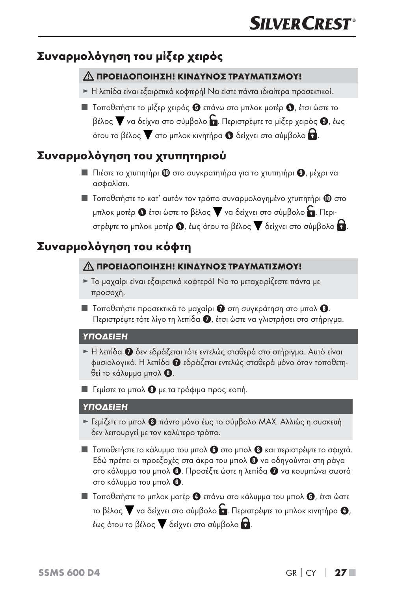### Συναρμολόγηση του μίξερ χειρός

#### ΠΡΟΕΙΔΟΠΟΙΗΣΗ! ΚΙΝΔΥΝΟΣ ΤΡΑΥΜΑΤΙΣΜΟΥ!

- ► Η λεπίδα είναι εξαιρετικά κοφτερή! Να είστε πάντα ιδιαίτερα προσεκτικοί.
- Τοποθετήστε το μίξερ χειρός <sup>5</sup> επάνω στο μπλοκ μοτέρ <sup>6</sup>, έτσι ώστε το  $\beta$ έλος  $\blacktriangledown$  να δείχνει στο σύμβολο  $\Omega$ . Περιστρέψτε το μίζερ χειρός  $\Theta$ , έως ότου το βέλος  $\blacktriangledown$  στο μπλοκ κινητήρα  $\bm{o}$  δείχνει στο σύμβολο  $\bm{\Omega}$ .

### Συναρμολόγηση του χτυπητηριού

- $\blacksquare$  Πιέστε το χτυπητήρι  $\blacksquare$  στο συγκρατητήρα για το χτυπητήρι  $\blacksquare$ , μέχρι να ασφαλίσει.
- $\blacksquare$  Τοποθετήστε το κατ΄ αυτόν τον τρόπο συναρμολογημένο χτυπητήρι  $\blacksquare$  στο μπλοκ μοτέρ <sup>α</sup> έτσι ώστε το βέλος ▼ να δείχνει στο σύμβολο <del>Ω</del>. Περιστρέψτε το μπλοκ μοτέρ  $\bullet$ , έως ότου το βέλος  $\blacktriangledown$  δείχνει στο σύμβολο  $\blacksquare$ .

### Συναρμολόγηση του κόφτη

#### ΠΡΟΕΙΔΟΠΟΙΗΣΗ! ΚΙΝΔΥΝΟΣ ΤΡΑΥΜΑΤΙΣΜΟΥ!

- ► Το μαχαίρι είναι εξαιρετικά κοφτερό! Να το μεταχειρίζεστε πάντα με προσοχή.
- $\blacksquare$  Τοποθετήστε προσεκτικά το μαχαίρι  $\clubsuit$  στη συγκράτηση στο μπολ  $\spadesuit$ . Περιστρέψτε τότε λίγο τη λεπίδα 7, έτσι ώστε να γλιστρήσει στο στήριγμα.

#### ΥΠΟΔΕΙΞΗ

- ► Η λεπίδα 7 δεν εδράζεται τότε εντελώς σταθερά στο στήριγμα. Αυτό είναι φυσιολογικό. Η λεπίδα 7 εδράζεται εντελώς σταθερά μόνο όταν τοποθετηθεί το κάλυμμα μπολ  $\mathbf \Theta$ .
- Γεμίστε το μπολ 8 με τα τρόφιμα προς κοπή.

#### ΥΠΟΔΕΙΞΗ

- ► Γεμίζετε το μπολ 8 πάντα μόνο έως το σύμβολο MAX. Αλλιώς η συσκευή δεν λειτουργεί με τον καλύτερο τρόπο.
- Τοποθετήστε το κάλυμμα του μπολ 6 στο μπολ 8 και περιστρέψτε το σφιχτά. Εδώ πρέπει οι προεξοχές στα άκρα του μπολ 8 να οδηγούνται στη ράγα στο κάλυμμα του μπολ 6. Προσέξτε ώστε η λεπίδα 7 να κουμπώνει σωστά στο κάλυμμα του μπολ 6.
- $\blacksquare$  Τοποθετήστε το μπλοκ μοτέρ  $\spadesuit$  επάνω στο κάλυμμα του μπολ  $\spadesuit$ , έτσι ώστε το βέλος  $\blacktriangledown$  να δείχνει στο σύμβολο  $\blacksquare$ . Περιστρέψτε το μπλοκ κινητήρα  $\spadesuit$ , έως ότου το βέλος  $\blacktriangledown$  δείχνει στο σύμβολο  $\Box$ .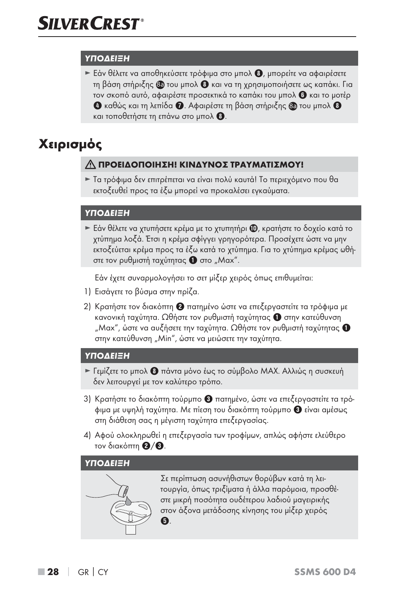#### ΥΠΟΔΕΙΞΗ

► Εάν θέλετε να αποθηκεύσετε τρόφιμα στο μπολ 8, μπορείτε να αφαιρέσετε τη βάση στήριξης 8a του μπολ 8 και να τη χρησιμοποιήσετε ως καπάκι. Για τον σκοπό αυτό, αφαιρέστε προσεκτικά το καπάκι του μπολ  $\bm{\Theta}$  και το μοτέρ **4** καθώς και τη λεπίδα  $\bullet$ . Αφαιρέστε τη βάση στήριξης **8**a του μπολ  $\bullet$ και τοποθετήστε τη επάνω στο μπολ  $\mathbf{\Theta}$ .

### Χειρισμός

#### ΠΡΟΕΙΔΟΠΟΙΗΣΗ! ΚΙΝΔΥΝΟΣ ΤΡΑΥΜΑΤΙΣΜΟΥ!

► Τα τρόφιμα δεν επιτρέπεται να είναι πολύ καυτά! Το περιεχόμενο που θα εκτοξευθεί προς τα έξω μπορεί να προκαλέσει εγκαύματα.

#### ΥΠΟΔΕΙΞΗ

► Εάν θέλετε να χτυπήσετε κρέμα με το χτυπητήρι  $, κρατήστε το δοχείο κατά το$ χτύπημα λοξά. Έτσι η κρέμα σφίγγει γρηγορότερα. Προσέχετε ώστε να μην εκτοξεύεται κρέμα προς τα έξω κατά το χτύπημα. Για το χτύπημα κρέμας ωθήστε τον ρυθμιστή ταχύτητας 1 στο "Max".

Εάν έχετε συναρμολογήσει το σετ μίξερ χειρός όπως επιθυμείται:

- 1) Εισάγετε το βύσμα στην πρίζα.
- 2) Κρατήστε τον διακόπτη 2 πατημένο ώστε να επεξεργαστείτε τα τρόφιμα με κανονική ταχύτητα. Ωθήστε τον ρυθμιστή ταχύτητας ● στην κατεύθυνση "Μαχ", ώστε να αυξήσετε την ταχύτητα. Ωθήστε τον ρυθμιστή ταχύτητας  $\bm{\mathsf{O}}$ στην κατεύθυνση "Min", ώστε να μειώσετε την ταχύτητα.

#### ΥΠΟΔΕΙΞΗ

- ► Γεμίζετε το μπολ 8 πάντα μόνο έως το σύμβολο MAX. Αλλιώς η συσκευή δεν λειτουργεί με τον καλύτερο τρόπο.
- 3) Κρατήστε το διακόπτη τούρμπο 3 πατημένο, ώστε να επεξεργαστείτε τα τρόφιμα με υψηλή ταχύτητα. Με πίεση του διακόπτη τούρμπο 3 είναι αμέσως στη διάθεση σας η μέγιστη ταχύτητα επεξεργασίας.
- 4) Αφού ολοκληρωθεί η επεξεργασία των τροφίμων, απλώς αφήστε ελεύθερο τον διακόπτη  $\mathbf{Q}/\mathbf{O}$ .

#### ΥΠΟΔΕΙΞΗ



Σε περίπτωση ασυνήθιστων θορύβων κατά τη λειτουργία, όπως τριξίματα ή άλλα παρόμοια, προσθέστε μικρή ποσότητα ουδέτερου λαδιού μαγειρικής στον άξονα μετάδοσης κίνησης του μίξερ χειρός 6.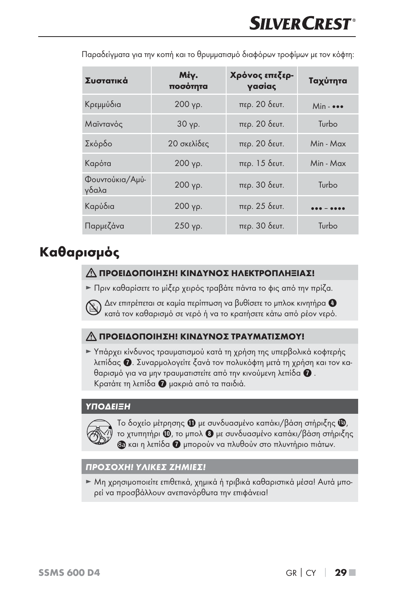Παραδείγματα για την κοπή και το θρυμματισμό διαφόρων τροφίμων με τον κόφτη:

| Συστατικά                | Μέν.<br>ποσότητα | Χρόνος επεξερ-<br>γασίας | Ταχύτητα                                                 |
|--------------------------|------------------|--------------------------|----------------------------------------------------------|
| Κρεμμύδια                | 200 γρ.          | περ. 20 δευτ.            | $Min - \bullet \bullet \bullet$                          |
| Μαϊντανός                | 30 γρ.           | περ. 20 δευτ.            | Turbo                                                    |
| Σκόρδο                   | 20 σκελίδες      | περ. 20 δευτ.            | Min - Max                                                |
| Καρότα                   | 200 γρ.          | περ. 15 δευτ.            | Min - Max                                                |
| Φουντούκια/Αμύ-<br>γδαλα | 200 γρ.          | περ. 30 δευτ.            | Turbo                                                    |
| Καρύδια                  | 200 γρ.          | περ. 25 δευτ.            | $\bullet\bullet\bullet\ -\ \bullet\bullet\bullet\bullet$ |
| Παρμεζάνα                | 250 γρ.          | περ. 30 δευτ.            | Turbo                                                    |

### Καθαρισμός

#### ΠΡΟΕΙΔΟΠΟΙΗΣΗ! ΚΙΝΔΥΝΟΣ ΗΛΕΚΤΡΟΠΛΗΞΙΑΣ!

► Πριν καθαρίσετε το μίξερ χειρός τραβάτε πάντα το φις από την πρίζα.

 $\setminus$  Δεν επιτρέπεται σε καμία περίπτωση να βυθίσετε το μπλοκ κινητήρα  $\spadesuit$ κατά τον καθαρισμό σε νερό ή να το κρατήσετε κάτω από ρέον νερό.

#### ΠΡΟΕΙΔΟΠΟΙΗΣΗ! ΚΙΝΔΥΝΟΣ ΤΡΑΥΜΑΤΙΣΜΟΥ!

► Υπάρχει κίνδυνος τραυματισμού κατά τη χρήση της υπερβολικά κοφτερής λεπίδας 7. Συναρμολογείτε ξανά τον πολυκόφτη μετά τη χρήση και τον καθαρισμό για να μην τραυματιστείτε από την κινούμενη λεπίδα  $\bullet$ . Κρατάτε τη λεπίδα 7 μακριά από τα παιδιά.

#### ΥΠΟΔΕΙΞΗ



Το δοχείο μέτρησης  $\mathbf 0$  με συνδυασμένο καπάκι/βάση στήριξης  $\mathbf 1$ , το χτυπητήρι 0, το μπολ 8 με συνδυασμένο καπάκι/βάση στήριξης 8a και η λεπίδα 7 μπορούν να πλυθούν στο πλυντήριο πιάτων.

#### ΠΡΟΣΟΧΗ! ΥΛΙΚΕΣ ΖΗΜΙΕΣ!

► Μη χρησιμοποιείτε επιθετικά, χημικά ή τριβικά καθαριστικά μέσα! Αυτά μπορεί να προσβάλλουν ανεπανόρθωτα την επιφάνεια!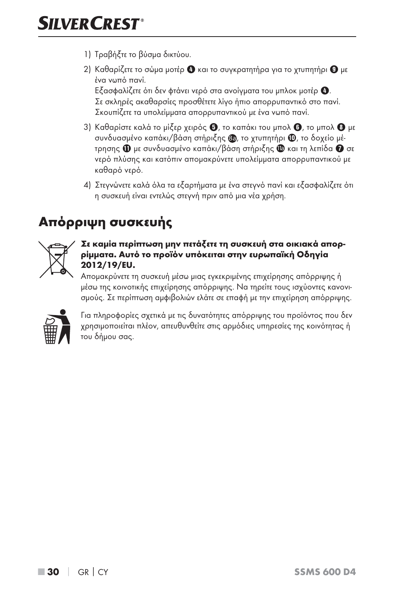- 1) Τραβήξτε το βύσμα δικτύου.
- 2) Καθαρίζετε το σώμα μοτέρ  $\bullet$  και το συγκρατητήρα για το χτυπητήρι  $\bullet$  με ένα νωπό πανί. Εξασφαλίζετε ότι δεν φτάνει νερό στα ανοίγματα του μπλοκ μοτέρ  $\bullet$ . Σε σκληρές ακαθαρσίες προσθέτετε λίγο ήπιο απορρυπαντικό στο πανί. Σκουπίζετε τα υπολείμματα απορρυπαντικού με ένα νωπό πανί.
- 3) Καθαρίστε καλά το μίξερ χειρός  $\bm{\Theta}$ , το καπάκι του μπολ  $\bm{\Theta}$ , το μπολ  $\bm{\Theta}$  με συνδυασμένο καπάκι/βάση στήριξης 8a, το χτυπητήρι 0, το δοχείο μέτρησης  $\mathbf 0$  με συνδυασμένο καπάκι/βάση στήριξης  $\mathbf 0$  και τη λεπίδα  $\mathbf 0$  σε νερό πλύσης και κατόπιν απομακρύνετε υπολείμματα απορρυπαντικού με καθαρό νερό.
- 4) Στεγνώνετε καλά όλα τα εξαρτήματα με ένα στεγνό πανί και εξασφαλίζετε ότι η συσκευή είναι εντελώς στεγνή πριν από μια νέα χρήση.

### Απόρριψη συσκευής



#### Σε καμία περίπτωση μην πετάξετε τη συσκευή στα οικιακά απορρίμματα. Αυτό το προϊόν υπόκειται στην ευρωπαϊκή Οδηγία 2012/19/EU.

Απομακρύνετε τη συσκευή μέσω μιας εγκεκριμένης επιχείρησης απόρριψης ή μέσω της κοινοτικής επιχείρησης απόρριψης. Να τηρείτε τους ισχύοντες κανονισμούς. Σε περίπτωση αμφιβολιών ελάτε σε επαφή με την επιχείρηση απόρριψης.



Για πληροφορίες σχετικά με τις δυνατότητες απόρριψης του προϊόντος που δεν χρησιμοποιείται πλέον, απευθυνθείτε στις αρμόδιες υπηρεσίες της κοινότητας ή του δήμου σας.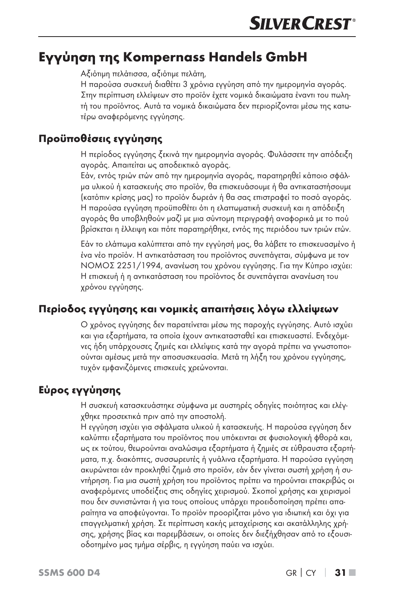### Εγγύηση της Kompernass Handels GmbH

Αξιότιμη πελάτισσα, αξιότιμε πελάτη,

Η παρούσα συσκευή διαθέτει 3 χρόνια εγγύηση από την ημερομηνία αγοράς. Στην περίπτωση ελλείψεων στο προϊόν έχετε νομικά δικαιώματα έναντι του πωλητή του προϊόντος. Αυτά τα νομικά δικαιώματα δεν περιορίζονται μέσω της κατωτέρω αναφερόμενης εγγύησης.

#### Προϋποθέσεις εγγύησης

Η περίοδος εγγύησης ξεκινά την ημερομηνία αγοράς. Φυλάσσετε την απόδειξη αγοράς. Απαιτείται ως αποδεικτικό αγοράς.

Εάν, εντός τριών ετών από την ημερομηνία αγοράς, παρατηρηθεί κάποιο σφάλμα υλικού ή κατασκευής στο προϊόν, θα επισκευάσουμε ή θα αντικαταστήσουμε (κατόπιν κρίσης μας) το προϊόν δωρεάν ή θα σας επιστραφεί το ποσό αγοράς. Η παρούσα εγγύηση προϋποθέτει ότι η ελαττωματική συσκευή και η απόδειξη αγοράς θα υποβληθούν μαζί με μια σύντομη περιγραφή αναφορικά με το πού βρίσκεται η έλλειψη και πότε παρατηρήθηκε, εντός της περιόδου των τριών ετών.

Εάν το ελάττωμα καλύπτεται από την εγγύησή μας, θα λάβετε το επισκευασμένο ή ένα νέο προϊόν. Η αντικατάσταση του προϊόντος συνεπάγεται, σύμφωνα με τον ΝΟΜΟΣ 2251/1994, ανανέωση του χρόνου εγγύησης. Για την Κύπρο ισχύει: Η επισκευή ή η αντικατάσταση του προïόντος δε συνεπάγεται ανανέωση του χρόνου εγγύησης.

### Περίοδος εγγύησης και νομικές απαιτήσεις λόγω ελλείψεων

Ο χρόνος εγγύησης δεν παρατείνεται μέσω της παροχής εγγύησης. Αυτό ισχύει και για εξαρτήματα, τα οποία έχουν αντικατασταθεί και επισκευαστεί. Ενδεχόμενες ήδη υπάρχουσες ζημιές και ελλείψεις κατά την αγορά πρέπει να γνωστοποιούνται αμέσως μετά την αποσυσκευασία. Μετά τη λήξη του χρόνου εγγύησης, τυχόν εμφανιζόμενες επισκευές χρεώνονται.

#### Εύρος εγγύησης

Η συσκευή κατασκευάστηκε σύμφωνα με αυστηρές οδηγίες ποιότητας και ελέγχθηκε προσεκτικά πριν από την αποστολή.

Η εγγύηση ισχύει για σφάλματα υλικού ή κατασκευής. Η παρούσα εγγύηση δεν καλύπτει εξαρτήματα του προϊόντος που υπόκεινται σε φυσιολογική φθορά και, ως εκ τούτου, θεωρούνται αναλώσιμα εξαρτήματα ή ζημιές σε εύθραυστα εξαρτήματα, π.χ. διακόπτες, συσσωρευτές ή γυάλινα εξαρτήματα. Η παρούσα εγγύηση ακυρώνεται εάν προκληθεί ζημιά στο προϊόν, εάν δεν γίνεται σωστή χρήση ή συντήρηση. Για μια σωστή χρήση του προϊόντος πρέπει να τηρούνται επακριβώς οι αναφερόμενες υποδείξεις στις οδηγίες χειρισμού. Σκοποί χρήσης και χειρισμοί που δεν συνιστώνται ή για τους οποίους υπάρχει προειδοποίηση πρέπει απαραίτητα να αποφεύγονται. Το προϊόν προορίζεται μόνο για ιδιωτική και όχι για επαγγελματική χρήση. Σε περίπτωση κακής μεταχείρισης και ακατάλληλης χρήσης, χρήσης βίας και παρεμβάσεων, οι οποίες δεν διεξήχθησαν από το εξουσιοδοτημένο μας τμήμα σέρβις, η εγγύηση παύει να ισχύει.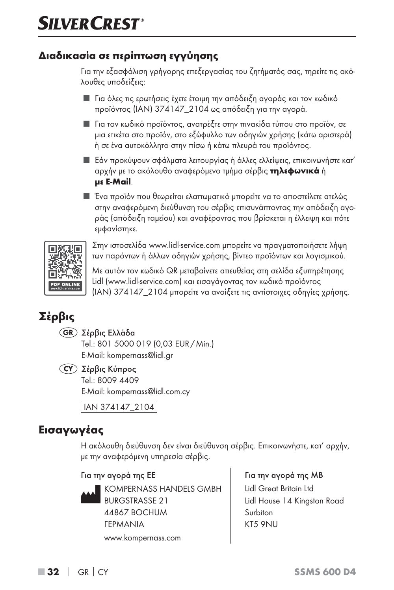# **SIIVER CREST®**

#### Διαδικασία σε περίπτωση εγγύησης

Για την εξασφάλιση γρήγορης επεξεργασίας του ζητήματός σας, τηρείτε τις ακόλουθες υποδείξεις:

- Για όλες τις ερωτήσεις έχετε έτοιμη την απόδειξη αγοράς και τον κωδικό προϊόντος (IAN) 374147\_2104 ως απόδειξη για την αγορά.
- Για τον κωδικό προϊόντος, ανατρέξτε στην πινακίδα τύπου στο προϊόν, σε μια ετικέτα στο προϊόν, στο εξώφυλλο των οδηγιών χρήσης (κάτω αριστερά) ή σε ένα αυτοκόλλητο στην πίσω ή κάτω πλευρά του προϊόντος.
- Εάν προκύψουν σφάλματα λειτουργίας ή άλλες ελλείψεις, επικοινωνήστε κατ' αρχήν με το ακόλουθο αναφερόμενο τμήμα σέρβις τηλεφωνικά ή με E-Mail.
- Ένα προϊόν που θεωρείται ελαττωματικό μπορείτε να το αποστείλετε ατελώς στην αναφερόμενη διεύθυνση του σέρβις επισυνάπτοντας την απόδειξη αγοράς (απόδειξη ταμείου) και αναφέροντας που βρίσκεται η έλλειψη και πότε εμφανίστηκε.



 Στην ιστοσελίδα www.lidl-service.com μπορείτε να πραγματοποιήσετε λήψη των παρόντων ή άλλων οδηγιών χρήσης, βίντεο προϊόντων και λογισμικού.

Με αυτόν τον κωδικό QR μεταβαίνετε απευθείας στη σελίδα εξυπηρέτησης Lidl (www.lidl-service.com) και εισαγάγοντας τον κωδικό προϊόντος (IAN) 374147\_2104 μπορείτε να ανοίξετε τις αντίστοιχες οδηγίες χρήσης.

### Σέρβις

 Σέρβις Ελλάδα Tel.: 801 5000 019 (0,03 EUR / Min.) E-Mail: kompernass@lidl.gr

Σέρβις Κύπρος

Tel.: 8009 4409 E-Mail: kompernass@lidl.com.cy

IAN 374147\_2104

### Εισαγωγέας

Η ακόλουθη διεύθυνση δεν είναι διεύθυνση σέρβις. Επικοινωνήστε, κατ' αρχήν, με την αναφερόμενη υπηρεσία σέρβις.



KOMPERNASS HANDELS GMBH BURGSTRASSE 21 44867 BOCHUM ΓΕΡΜΑΝΙΑ www.kompernass.com

Για την αγορά της ΕΕ Για την αγορά της ΜΒ Lidl Great Britain Ltd Lidl House 14 Kingston Road Surbiton KT5 9NU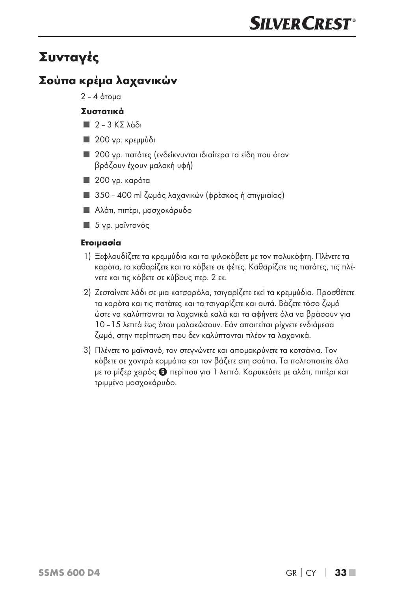### Συνταγές

### Σούπα κρέμα λαχανικών

2 – 4 άτομα

#### Συστατικά

- 2 3 ΚΣ λάδι
- 200 γρ. κρεμμύδι
- 200 γρ. πατάτες (ενδείκνυνται ιδιαίτερα τα είδη που όταν βράζουν έχουν μαλακή υφή)
- 200 γρ. καρότα
- 350 400 ml ζωμός λαγανικών (φρέσκος ή στινμιαίος)
- Αλάτι, πιπέρι, μοσχοκάρυδο
- 5 γρ. μαϊντανός

#### Ετοιμασία

- 1) Ξεφλουδίζετε τα κρεμμύδια και τα ψιλοκόβετε με τον πολυκόφτη. Πλένετε τα καρότα, τα καθαρίζετε και τα κόβετε σε φέτες. Καθαρίζετε τις πατάτες, τις πλένετε και τις κόβετε σε κύβους περ. 2 εκ.
- 2) Ζεσταίνετε λάδι σε μια κατσαρόλα, τσιγαρίζετε εκεί τα κρεμμύδια. Προσθέτετε τα καρότα και τις πατάτες και τα τσιγαρίζετε και αυτά. Βάζετε τόσο ζωμό ώστε να καλύπτονται τα λαχανικά καλά και τα αφήνετε όλα να βράσουν για 10 –15 λεπτά έως ότου μαλακώσουν. Εάν απαιτείται ρίχνετε ενδιάμεσα ζωμό, στην περίπτωση που δεν καλύπτονται πλέον τα λαχανικά.
- 3) Πλένετε το μαϊντανό, τον στεγνώνετε και απομακρύνετε τα κοτσάνια. Τον κόβετε σε χοντρά κομμάτια και τον βάζετε στη σούπα. Τα πολτοποιείτε όλα με το μίξερ χειρός 5 περίπου για 1 λεπτό. Καρυκεύετε με αλάτι, πιπέρι και τριμμένο μοσχοκάρυδο.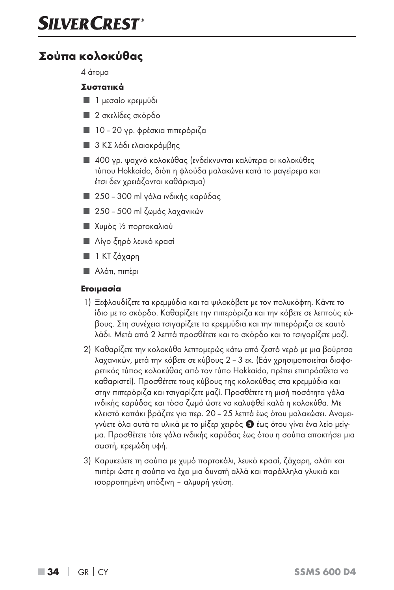### Σούπα κολοκύθας

4 άτομα

#### Συστατικά

- 1 μεσαίο κρεμμύδι
- 2 σκελίδες σκόρδο
- 10 20 γρ. φρέσκια πιπερόριζα
- 3 ΚΣ λάδι ελαιοκράμβης
- 400 γρ. ψαχνό κολοκύθας (ενδείκνυνται καλύτερα οι κολοκύθες τύπου Hokkaido, διότι η φλούδα μαλακώνει κατά το μαγείρεμα και έτσι δεν χρειάζονται καθάρισμα)
- 250 300 ml γάλα ινδικής καρύδας
- 250 500 ml ζωμός λαχανικών
- Χυμός ½ πορτοκαλιού
- Λίγο ξηρό λευκό κρασί
- 1 ΚΤ ζάχαρη
- Αλάτι, πιπέρι

#### Ετοιμασία

- 1) Ξεφλουδίζετε τα κρεμμύδια και τα ψιλοκόβετε με τον πολυκόφτη. Κάντε το ίδιο με το σκόρδο. Καθαρίζετε την πιπερόριζα και την κόβετε σε λεπτούς κύβους. Στη συνέχεια τσιγαρίζετε τα κρεμμύδια και την πιπερόριζα σε καυτό λάδι. Μετά από 2 λεπτά προσθέτετε και το σκόρδο και το τσιγαρίζετε μαζί.
- 2) Καθαρίζετε την κολοκύθα λεπτομερώς κάτω από ζεστό νερό με μια βούρτσα λαχανικών, μετά την κόβετε σε κύβους 2 – 3 εκ. (Εάν χρησιμοποιείται διαφορετικός τύπος κολοκύθας από τον τύπο Hokkaido, πρέπει επιπρόσθετα να καθαριστεί). Προσθέτετε τους κύβους της κολοκύθας στα κρεμμύδια και στην πιπερόριζα και τσιγαρίζετε μαζί. Προσθέτετε τη μισή ποσότητα γάλα ινδικής καρύδας και τόσο ζωμό ώστε να καλυφθεί καλά η κολοκύθα. Με κλειστό καπάκι βράζετε για περ. 20 – 25 λεπτά έως ότου μαλακώσει. Αναμειγνύετε όλα αυτά τα υλικά με το μίξερ χειρός **Θ** έως ότου γίνει ένα λείο μείγμα. Προσθέτετε τότε γάλα ινδικής καρύδας έως ότου η σούπα αποκτήσει μια σωστή, κρεμώδη υφή.
- 3) Καρυκεύετε τη σούπα με χυμό πορτοκάλι, λευκό κρασί, ζάχαρη, αλάτι και πιπέρι ώστε η σούπα να έχει μια δυνατή αλλά και παράλληλα γλυκιά και ισορροπημένη υπόξινη – αλμυρή γεύση.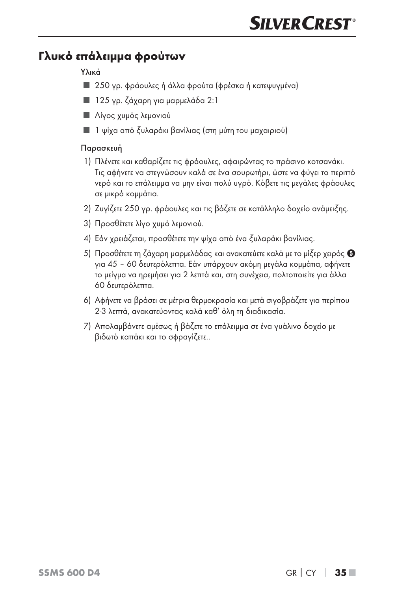### Γλυκό επάλειμμα φρούτων

#### Υλικά

- 250 γρ. φράουλες ή άλλα φρούτα (φρέσκα ή κατεψυγμένα)
- 125 γρ. ζάχαρη για μαρμελάδα 2:1
- Λίγος χυμός λεμονιού
- 1 ψίχα από ξυλαράκι βανίλιας (στη μύτη του μαχαιριού)

#### Παρασκευή

- 1) Πλένετε και καθαρίζετε τις φράουλες, αφαιρώντας το πράσινο κοτσανάκι. Τις αφήνετε να στεγνώσουν καλά σε ένα σουρωτήρι, ώστε να φύγει το περιττό νερό και το επάλειμμα να μην είναι πολύ υγρό. Κόβετε τις μεγάλες φράουλες σε μικρά κομμάτια.
- 2) Ζυγίζετε 250 γρ. φράουλες και τις βάζετε σε κατάλληλο δοχείο ανάμειξης.
- 3) Προσθέτετε λίγο χυμό λεμονιού.
- 4) Εάν χρειάζεται, προσθέτετε την ψίχα από ένα ξυλαράκι βανίλιας.
- 5) Προσθέτετε τη ζάχαρη μαρμελάδας και ανακατεύετε καλά με το μίξερ χειρός  $\bm{\Theta}$ για 45 – 60 δευτερόλεπτα. Εάν υπάρχουν ακόμη μεγάλα κομμάτια, αφήνετε το μείγμα να ηρεμήσει για 2 λεπτά και, στη συνέχεια, πολτοποιείτε για άλλα 60 δευτερόλεπτα.
- 6) Αφήνετε να βράσει σε μέτρια θερμοκρασία και μετά σιγοβράζετε για περίπου 2-3 λεπτά, ανακατεύοντας καλά καθ' όλη τη διαδικασία.
- 7) Απολαμβάνετε αμέσως ή βάζετε το επάλειμμα σε ένα γυάλινο δοχείο με βιδωτό καπάκι και το σφραγίζετε..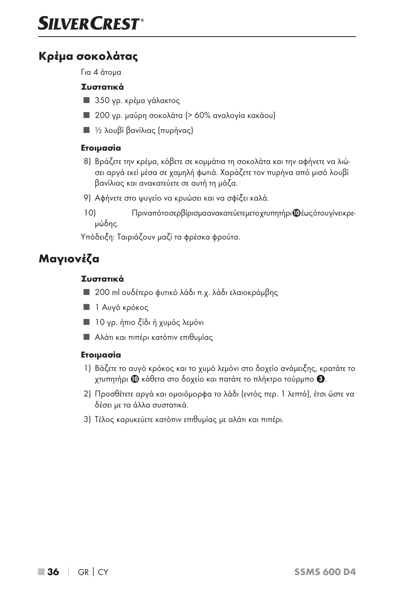### Κρέμα σοκολάτας

Για 4 άτομα

#### Συστατικά

- 350 γρ. κρέμα γάλακτος
- 200 γρ. μαύρη σοκολάτα (> 60% αναλογία κακάου)
- ½ λουβί βανίλιας (πυρήνας)

#### Ετοιμασία

- 8) Βράζετε την κρέμα, κόβετε σε κομμάτια τη σοκολάτα και την αφήνετε να λιώσει αργά εκεί μέσα σε χαμηλή φωτιά. Χαράζετε τον πυρήνα από μισό λουβί βανίλιας και ανακατεύετε σε αυτή τη μάζα.
- 9) Αφήνετε στο ψυγείο να κρυώσει και να σφίξει καλά.
- 10) Πριν από το σερβίρισμα ανακατεύετε με το χτυπητήρι Φέως ότου γίνει κρεμώδης.

Υπόδειξη: Ταιριάζουν μαζί τα φρέσκα φρούτα.

### Μαγιονέζα

#### Συστατικά

- 200 ml ουδέτερο φυτικό λάδι π.χ. λάδι ελαιοκράμβης
- 1 Αυγό κρόκος
- 10 γρ. ήπιο ξίδι ή χυμός λεμόνι
- Αλάτι και πιπέρι κατόπιν επιθυμίας

#### Ετοιμασία

- 1) Βάζετε το αυγό κρόκος και το χυμό λεμόνι στο δοχείο ανάμειξης, κρατάτε το χτυπητήρι 0 κάθετα στο δοχείο και πατάτε το πλήκτρο τούρμπο 3.
- 2) Προσθέτετε αργά και ομοιόμορφα το λάδι (εντός περ. 1 λεπτό), έτσι ώστε να δέσει με τα άλλα συστατικά.
- 3) Τέλος καρυκεύετε κατόπιν επιθυμίας με αλάτι και πιπέρι.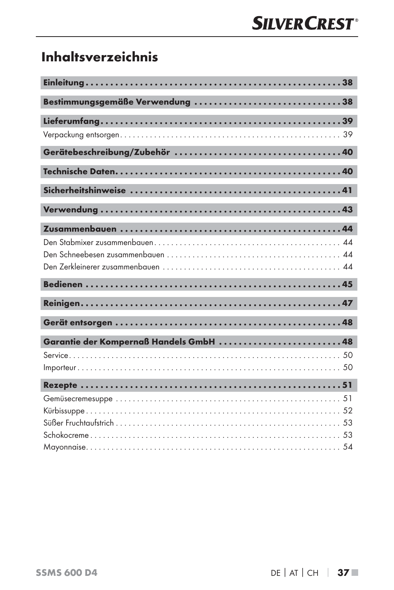### Inhaltsverzeichnis

| Bestimmungsgemäße Verwendung 38        |
|----------------------------------------|
|                                        |
|                                        |
|                                        |
|                                        |
|                                        |
|                                        |
|                                        |
|                                        |
|                                        |
|                                        |
|                                        |
| Garantie der Kompernaß Handels GmbH 48 |
|                                        |
|                                        |
|                                        |
|                                        |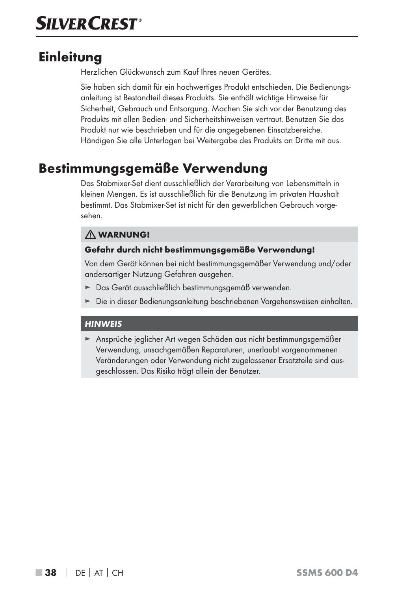### **Einleitung**

Herzlichen Glückwunsch zum Kauf Ihres neuen Gerätes.

Sie haben sich damit für ein hochwertiges Produkt entschieden. Die Bedienungsanleitung ist Bestandteil dieses Produkts. Sie enthält wichtige Hinweise für Sicherheit, Gebrauch und Entsorgung. Machen Sie sich vor der Benutzung des Produkts mit allen Bedien- und Sicherheitshinweisen vertraut. Benutzen Sie das Produkt nur wie beschrieben und für die angegebenen Einsatzbereiche. Händigen Sie alle Unterlagen bei Weitergabe des Produkts an Dritte mit aus.

### Bestimmungsgemäße Verwendung

Das Stabmixer-Set dient ausschließlich der Verarbeitung von Lebensmitteln in kleinen Mengen. Es ist ausschließlich für die Benutzung im privaten Haushalt bestimmt. Das Stabmixer-Set ist nicht für den gewerblichen Gebrauch vorgesehen.

#### A WARNUNG!

#### Gefahr durch nicht bestimmungsgemäße Verwendung!

Von dem Gerät können bei nicht bestimmungsgemäßer Verwendung und/oder andersartiger Nutzung Gefahren ausgehen.

- ► Das Gerät ausschließlich bestimmungsgemäß verwenden.
- ► Die in dieser Bedienungsanleitung beschriebenen Vorgehensweisen einhalten.

#### **HINWEIS**

► Ansprüche jeglicher Art wegen Schäden aus nicht bestimmungsgemäßer Verwendung, unsachgemäßen Reparaturen, unerlaubt vorgenommenen Veränderungen oder Verwendung nicht zugelassener Ersatzteile sind ausgeschlossen. Das Risiko trägt allein der Benutzer.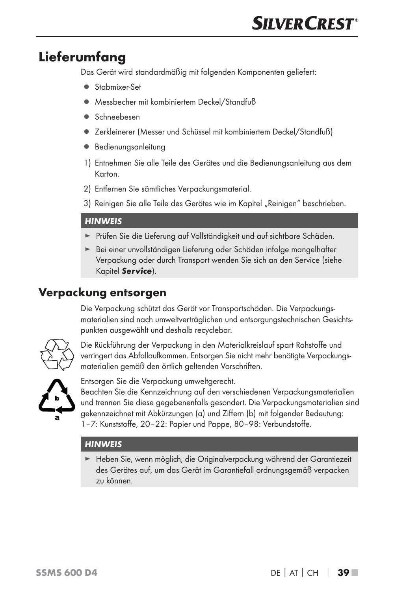### Lieferumfang

Das Gerät wird standardmäßig mit folgenden Komponenten geliefert:

- Stabmixer-Set
- ▯ Messbecher mit kombiniertem Deckel/Standfuß
- Schneebesen
- ▯ Zerkleinerer (Messer und Schüssel mit kombiniertem Deckel/Standfuß)
- Bedienungsanleitung
- 1) Entnehmen Sie alle Teile des Gerätes und die Bedienungsanleitung aus dem Karton.
- 2) Entfernen Sie sämtliches Verpackungsmaterial.
- 3) Reinigen Sie alle Teile des Gerätes wie im Kapitel "Reinigen" beschrieben.

#### **HINWEIS**

- ► Prüfen Sie die Lieferung auf Vollständigkeit und auf sichtbare Schäden.
- ► Bei einer unvollständigen Lieferung oder Schäden infolge mangelhafter Verpackung oder durch Transport wenden Sie sich an den Service (siehe Kapitel Service).

### Verpackung entsorgen

Die Verpackung schützt das Gerät vor Transportschäden. Die Verpackungsmaterialien sind nach umweltverträglichen und entsorgungstechnischen Gesichtspunkten ausgewählt und deshalb recyclebar.



Die Rückführung der Verpackung in den Materialkreislauf spart Rohstoffe und verringert das Abfallaufkommen. Entsorgen Sie nicht mehr benötigte Verpackungsmaterialien gemäß den örtlich geltenden Vorschriften.



Entsorgen Sie die Verpackung umweltgerecht.

Beachten Sie die Kennzeichnung auf den verschiedenen Verpackungsmaterialien und trennen Sie diese gegebenenfalls gesondert. Die Verpackungsmaterialien sind gekennzeichnet mit Abkürzungen (a) und Ziffern (b) mit folgender Bedeutung: 1–7: Kunststoffe, 20–22: Papier und Pappe, 80–98: Verbundstoffe.

#### **HINWEIS**

► Heben Sie, wenn möglich, die Originalverpackung während der Garantiezeit des Gerätes auf, um das Gerät im Garantiefall ordnungsgemäß verpacken zu können.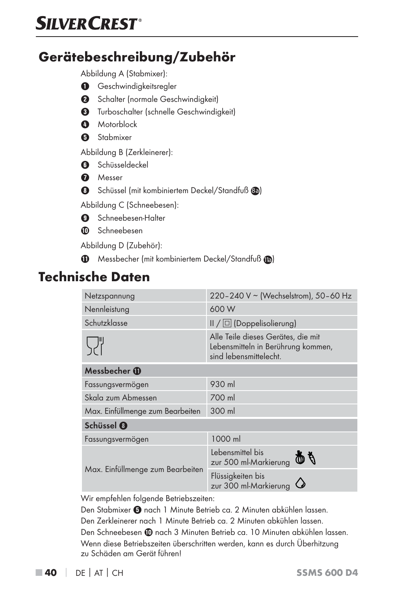### Gerätebeschreibung/Zubehör

Abbildung A (Stabmixer):

- **1** Geschwindigkeitsregler
- **2** Schalter (normale Geschwindigkeit)
- **3** Turboschalter (schnelle Geschwindigkeit)
- 4 Motorblock
- **6** Stabmixer

Abbildung B (Zerkleinerer):

- **6** Schüsseldeckel
- *D* Messer
- 8 Schüssel (mit kombiniertem Deckel/Standfuß 8a)

Abbildung C (Schneebesen):

- **9** Schneebesen-Halter
- 0 Schneebesen

Abbildung D (Zubehör):

**T** Messbecher (mit kombiniertem Deckel/Standfuß **1**a)

### Technische Daten

| Netzspannung                     | 220-240 V ~ (Wechselstrom), 50-60 Hz                                                               |  |  |
|----------------------------------|----------------------------------------------------------------------------------------------------|--|--|
| Nennleistung                     | 600W                                                                                               |  |  |
| Schutzklasse                     | $II / \Box$ (Doppelisolierung)                                                                     |  |  |
| ۳J<br>ا                          | Alle Teile dieses Gerätes, die mit<br>Lebensmitteln in Berührung kommen,<br>sind lebensmittelecht. |  |  |
| Messbecher <b>10</b>             |                                                                                                    |  |  |
| Fassungsvermögen                 | 930 ml                                                                                             |  |  |
| Skala zum Abmessen               | 700 ml                                                                                             |  |  |
| Max. Einfüllmenge zum Bearbeiten | 300 ml                                                                                             |  |  |
| Schüssel <sup>®</sup>            |                                                                                                    |  |  |
| Fassungsvermögen                 | 1000 ml                                                                                            |  |  |
| Max. Einfüllmenge zum Bearbeiten | Lebensmittel bis<br>O J<br>zur 500 ml-Markierung                                                   |  |  |
|                                  | Flüssigkeiten bis<br>zur 300 ml-Markierung                                                         |  |  |

Wir empfehlen folgende Betriebszeiten:

Den Stabmixer  $\bigcirc$  nach 1 Minute Betrieb ca. 2 Minuten abkühlen lassen. Den Zerkleinerer nach 1 Minute Betrieb ca. 2 Minuten abkühlen lassen. Den Schneebesen  $\Phi$  nach 3 Minuten Betrieb ca. 10 Minuten abkühlen lassen. Wenn diese Betriebszeiten überschritten werden, kann es durch Überhitzung zu Schäden am Gerät führen!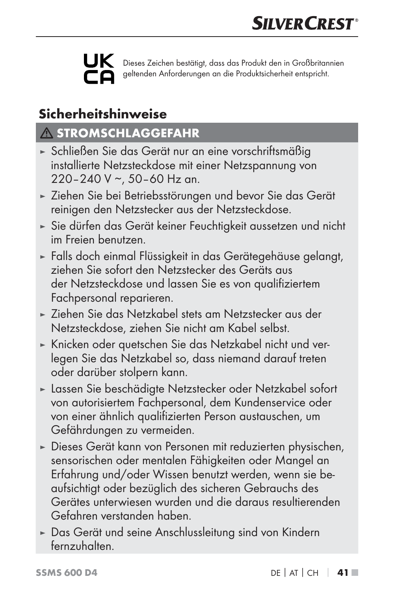UK. Dieses Zeichen bestätigt, dass das Produkt den in Großbritannien geltenden Anforderungen an die Produktsicherheit entspricht.

### Sicherheitshinweise

### A STROMSCHLAGGEFAHR

- ► Schließen Sie das Gerät nur an eine vorschriftsmäßig installierte Netzsteckdose mit einer Netzspannung von 220–240 V ∼, 50–60 Hz an.
- ► Ziehen Sie bei Betriebsstörungen und bevor Sie das Gerät reinigen den Netzstecker aus der Netzsteckdose.
- ► Sie dürfen das Gerät keiner Feuchtigkeit aussetzen und nicht im Freien benutzen.
- ► Falls doch einmal Flüssigkeit in das Gerätegehäuse gelangt, ziehen Sie sofort den Netzstecker des Geräts aus der Netzsteckdose und lassen Sie es von qualifiziertem Fachpersonal reparieren.
- ► Ziehen Sie das Netzkabel stets am Netzstecker aus der Netzsteckdose, ziehen Sie nicht am Kabel selbst.
- ► Knicken oder quetschen Sie das Netzkabel nicht und verlegen Sie das Netzkabel so, dass niemand darauf treten oder darüber stolpern kann.
- ► Lassen Sie beschädigte Netzstecker oder Netzkabel sofort von autorisiertem Fachpersonal, dem Kundenservice oder von einer ähnlich qualifizierten Person austauschen, um Gefährdungen zu vermeiden.
- ► Dieses Gerät kann von Personen mit reduzierten physischen, sensorischen oder mentalen Fähigkeiten oder Mangel an Erfahrung und/oder Wissen benutzt werden, wenn sie beaufsichtigt oder bezüglich des sicheren Gebrauchs des Gerätes unterwiesen wurden und die daraus resultierenden Gefahren verstanden haben.
- ► Das Gerät und seine Anschlussleitung sind von Kindern fernzuhalten.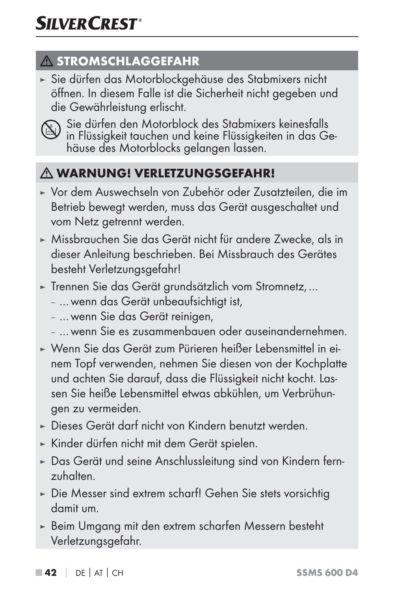### A STROMSCHLAGGEFAHR

► Sie dürfen das Motorblockgehäuse des Stabmixers nicht öffnen. In diesem Falle ist die Sicherheit nicht gegeben und die Gewährleistung erlischt.



Sie dürfen den Motorblock des Stabmixers keinesfalls in Flüssigkeit tauchen und keine Flüssigkeiten in das Gehäuse des Motorblocks gelangen lassen.

### WARNUNG! VERLETZUNGSGEFAHR!

- ► Vor dem Auswechseln von Zubehör oder Zusatzteilen, die im Betrieb bewegt werden, muss das Gerät ausgeschaltet und vom Netz getrennt werden.
- ► Missbrauchen Sie das Gerät nicht für andere Zwecke, als in dieser Anleitung beschrieben. Bei Missbrauch des Gerätes besteht Verletzungsgefahr!
- ► Trennen Sie das Gerät grundsätzlich vom Stromnetz, …

– … wenn das Gerät unbeaufsichtigt ist,

– … wenn Sie das Gerät reinigen,

- … wenn Sie es zusammenbauen oder auseinandernehmen.
- ► Wenn Sie das Gerät zum Pürieren heißer Lebensmittel in einem Topf verwenden, nehmen Sie diesen von der Kochplatte und achten Sie darauf, dass die Flüssigkeit nicht kocht. Lassen Sie heiße Lebensmittel etwas abkühlen, um Verbrühungen zu vermeiden.
- ► Dieses Gerät darf nicht von Kindern benutzt werden.
- ► Kinder dürfen nicht mit dem Gerät spielen.
- ► Das Gerät und seine Anschlussleitung sind von Kindern fernzuhalten.
- ► Die Messer sind extrem scharf! Gehen Sie stets vorsichtig damit um.
- ► Beim Umgang mit den extrem scharfen Messern besteht Verletzungsgefahr.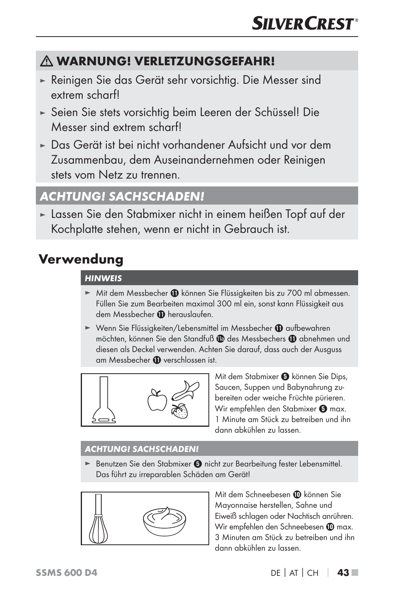### WARNUNG! VERLETZUNGSGEFAHR!

- ► Reinigen Sie das Gerät sehr vorsichtig. Die Messer sind extrem scharf!
- ► Seien Sie stets vorsichtig beim Leeren der Schüssel! Die Messer sind extrem scharf!
- ► Das Gerät ist bei nicht vorhandener Aufsicht und vor dem Zusammenbau, dem Auseinandernehmen oder Reinigen stets vom Netz zu trennen.

### ACHTUNG! SACHSCHADEN!

► Lassen Sie den Stabmixer nicht in einem heißen Topf auf der Kochplatte stehen, wenn er nicht in Gebrauch ist.

# Verwendung

#### **HINWEIS**

- $\triangleright$  Mit dem Messbecher  $\oplus$  können Sie Flüssigkeiten bis zu 700 ml abmessen. Füllen Sie zum Bearbeiten maximal 300 ml ein, sonst kann Flüssigkeit aus dem Messbecher  $\mathbf \Phi$  herauslaufen.
- $\triangleright$  Wenn Sie Flüssigkeiten/Lebensmittel im Messbecher  $\mathbf 0$  aufbewahren möchten, können Sie den Standfuß 10 des Messbechers 10 abnehmen und diesen als Deckel verwenden. Achten Sie darauf, dass auch der Ausguss am Messbecher  $\mathbf \Phi$  verschlossen ist.



Mit dem Stabmixer **6** können Sie Dips, Saucen, Suppen und Babynahrung zubereiten oder weiche Früchte pürieren. Wir empfehlen den Stabmixer **6** max. 1 Minute am Stück zu betreiben und ihn dann abkühlen zu lassen.

#### ACHTUNG! SACHSCHADEN!

► Benutzen Sie den Stabmixer <a>
<sub>D</sub> nicht zur Bearbeitung fester Lebensmittel. Das führt zu irreparablen Schäden am Gerät!



Mit dem Schneebesen **ID** können Sie Mayonnaise herstellen, Sahne und Eiweiß schlagen oder Nachtisch anrühren. Wir empfehlen den Schneebesen **10** max. 3 Minuten am Stück zu betreiben und ihn dann abkühlen zu lassen.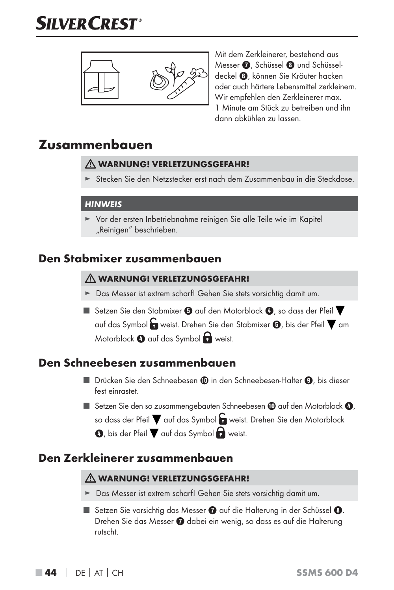# **SILVER CREST®**



Mit dem Zerkleinerer, bestehend aus Messer **@**, Schüssel **@** und Schüsseldeckel 6, können Sie Kräuter hacken oder auch härtere Lebensmittel zerkleinern. Wir empfehlen den Zerkleinerer max. 1 Minute am Stück zu betreiben und ihn dann ab kühlen zu lassen.

### Zusammenbauen

#### WARNUNG! VERLETZUNGSGEFAHR!

► Stecken Sie den Netzstecker erst nach dem Zusammenbau in die Steckdose.

#### **HINWEIS**

► Vor der ersten Inbetriebnahme reinigen Sie alle Teile wie im Kapitel "Reinigen" beschrieben.

### Den Stabmixer zusammenbauen

#### WARNUNG! VERLETZUNGSGEFAHR!

- ► Das Messer ist extrem scharf! Gehen Sie stets vorsichtig damit um.
- **E** Setzen Sie den Stabmixer  $\boldsymbol{\Theta}$  auf den Motorblock  $\boldsymbol{\Theta}$ , so dass der Pfeil  $\boldsymbol{\nabla}$ auf das Symbol  $\widehat{\bullet}$  weist. Drehen Sie den Stabmixer  $\bullet$ , bis der Pfeil  $\blacktriangledown$  am Motorblock  $\bullet$  auf das Symbol  $\bullet$  weist.

#### Den Schneebesen zusammenbauen

- Drücken Sie den Schneebesen **1** in den Schneebesen-Halter **1**, bis dieser fest einrastet.
- Setzen Sie den so zusammengebauten Schneebesen **①** auf den Motorblock **△**, so dass der Pfeil  $\nabla$  auf das Symbol  $\Omega$  weist. Drehen Sie den Motorblock  $\bullet$ , bis der Pfeil  $\nabla$  auf das Symbol  $\bullet$  weist.

#### Den Zerkleinerer zusammenbauen

#### A WARNUNG! VERLETZUNGSGEFAHR!

- ► Das Messer ist extrem scharf! Gehen Sie stets vorsichtig damit um.
- Setzen Sie vorsichtig das Messer 2 auf die Halterung in der Schüssel 3. Drehen Sie das Messer @ dabei ein wenig, so dass es auf die Halterung rutscht.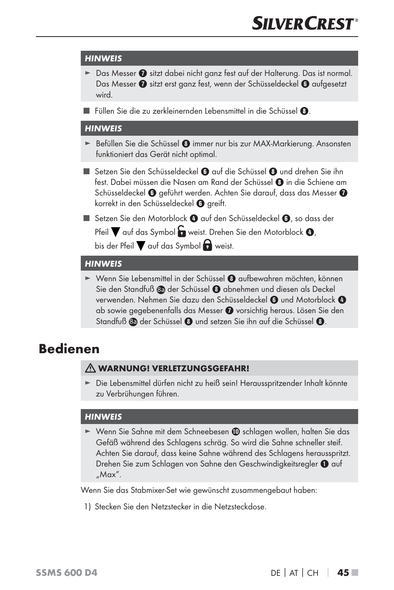#### **HINWEIS**

- ► Das Messer  $\bullet$  sitzt dabei nicht ganz fest auf der Halterung. Das ist normal. Das Messer  $\bullet$  sitzt erst ganz fest, wenn der Schüsseldeckel  $\bullet$  aufgesetzt wird.
- Füllen Sie die zu zerkleinernden Lebensmittel in die Schüssel A.

#### **HINWEIS**

- ► Befüllen Sie die Schüssel <sup>1</sup> immer nur bis zur MAX-Markierung. Ansonsten funktioniert das Gerät nicht optimal.
- Setzen Sie den Schüsseldeckel + auf die Schüssel + und drehen Sie ihn fest. Dabei müssen die Nasen am Rand der Schüssel @ in die Schiene am Schüsseldeckel **6** geführt werden. Achten Sie darauf, dass das Messer <sup>7</sup> korrekt in den Schüsseldeckel **6** greift.
- Setzen Sie den Motorblock auf den Schüsseldeckel ●, so dass der Pfeil  $\nabla$  auf das Symbol  $\Omega$  weist. Drehen Sie den Motorblock  $\Omega$ , bis der Pfeil  $\nabla$  auf das Symbol  $\Omega$  weist.

#### **HINWEIS**

► Wenn Sie Lebensmittel in der Schüssel 8 aufbewahren möchten, können Sie den Standfuß  $\circled{3}$  der Schüssel  $\circled{3}$  abnehmen und diesen als Deckel verwenden. Nehmen Sie dazu den Schüsseldeckel @ und Motorblock @ ab sowie gegebenenfalls das Messer 7 vorsichtig heraus. Lösen Sie den Standfuß **8a** der Schüssel <sup>0</sup> und setzen Sie ihn auf die Schüssel <sup>0</sup>.

### Bedienen

#### WARNUNG! VERLETZUNGSGEFAHR!

► Die Lebensmittel dürfen nicht zu heiß sein! Herausspritzender Inhalt könnte zu Verbrühungen führen.

#### **HINWEIS**

► Wenn Sie Sahne mit dem Schneebesen **10** schlagen wollen, halten Sie das Gefäß während des Schlagens schräg. So wird die Sahne schneller steif. Achten Sie darauf, dass keine Sahne während des Schlagens herausspritzt. Drehen Sie zum Schlagen von Sahne den Geschwindigkeitsregler @ auf "Max".

Wenn Sie das Stabmixer-Set wie gewünscht zusammengebaut haben:

1) Stecken Sie den Netzstecker in die Netzsteckdose.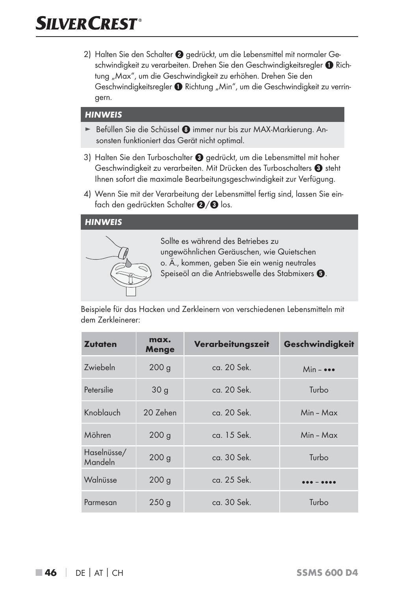2) Halten Sie den Schalter @ gedrückt, um die Lebensmittel mit normaler Geschwindigkeit zu verarbeiten. Drehen Sie den Geschwindigkeitsregler <sup>1</sup> Richtung "Max", um die Geschwindigkeit zu erhöhen. Drehen Sie den Geschwindigkeitsregler <sup>1</sup> Richtung "Min", um die Geschwindigkeit zu verringern.

#### **HINWEIS**

- ► Befüllen Sie die Schüssel 8 immer nur bis zur MAX-Markierung. Ansonsten funktioniert das Gerät nicht optimal.
- 3) Halten Sie den Turboschalter <sup>3</sup> gedrückt, um die Lebensmittel mit hoher Geschwindigkeit zu verarbeiten. Mit Drücken des Turboschalters <sup>3</sup> steht Ihnen sofort die maximale Bearbeitungsgeschwindigkeit zur Verfügung.
- 4) Wenn Sie mit der Verarbeitung der Lebensmittel fertig sind, lassen Sie einfach den gedrückten Schalter  $\mathbf{Q}/\mathbf{S}$  los.

#### **HINWEIS**



Sollte es während des Betriebes zu ungewöhnlichen Geräuschen, wie Quietschen o. Ä., kommen, geben Sie ein wenig neutrales Speiseöl an die Antriebswelle des Stabmixers  $\mathbf \Theta$ .

Beispiele für das Hacken und Zerkleinern von verschiedenen Lebensmitteln mit dem Zerkleinerer:

| <b>Zutaten</b>         | max.<br>Menge    | Verarbeitungszeit | Geschwindigkeit                 |
|------------------------|------------------|-------------------|---------------------------------|
| <b>Zwiebeln</b>        | 200 <sub>g</sub> | ca. 20 Sek        | $Min - \bullet \bullet \bullet$ |
| Petersilie             | 30 <sub>g</sub>  | ca. 20 Sek.       | Turbo                           |
| Knoblauch              | 20 Zehen         | ca. 20 Sek.       | $Min - Max$                     |
| Möhren                 | 200 <sub>g</sub> | ca. 15 Sek.       | $Min - Max$                     |
| Haselnüsse/<br>Mandeln | 200 <sub>g</sub> | ca. 30 Sek.       | Turbo                           |
| Walnüsse               | 200 <sub>g</sub> | ca. 25 Sek.       | –                               |
| Parmesan               | 250 <sub>g</sub> | ca. 30 Sek.       | Turbo                           |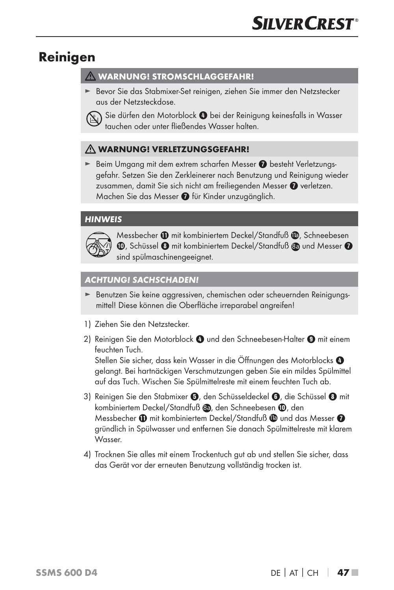### Reinigen

#### WARNUNG! STROMSCHLAGGEFAHR!

► Bevor Sie das Stabmixer-Set reinigen, ziehen Sie immer den Netzstecker aus der Netzsteckdose.



 $\sum$  Sie dürfen den Motorblock  $\bigcirc$  bei der Reinigung keinesfalls in Wasser tauchen oder unter fließendes Wasser halten.

#### WARNUNG! VERLETZUNGSGEFAHR!

► Beim Umgang mit dem extrem scharfen Messer • besteht Verletzungsgefahr. Setzen Sie den Zerkleinerer nach Benutzung und Reinigung wieder zusammen, damit Sie sich nicht am freiliegenden Messer @ verletzen. Machen Sie das Messer <sup>1</sup> für Kinder unzugänglich.

#### **HINWEIS**



Messbecher  $\bf{0}$  mit kombiniertem Deckel/Standfuß  $\bf{10}$ , Schneebesen **10**, Schüssel **8** mit kombiniertem Deckel/Standfuß 8 und Messer **0** sind spülmaschinengeeignet.

#### ACHTUNG! SACHSCHADEN!

- ► Benutzen Sie keine aggressiven, chemischen oder scheuernden Reinigungsmittel! Diese können die Oberfläche irreparabel angreifen!
- 1) Ziehen Sie den Netzstecker.
- 2) Reinigen Sie den Motorblock  $\bullet$  und den Schneebesen-Halter  $\bullet$  mit einem feuchten Tuch.

Stellen Sie sicher, dass kein Wasser in die Öffnungen des Motorblocks <sup>6</sup> gelangt. Bei hartnäckigen Verschmutzungen geben Sie ein mildes Spülmittel auf das Tuch. Wischen Sie Spülmittelreste mit einem feuchten Tuch ab.

- 3) Reinigen Sie den Stabmixer + chen Schüsseldeckel + chen Schüssel + mit kombiniertem Deckel/Standfuß  $\circledast$ , den Schneebesen  $\circledast$ , den Messbecher  $\bf{0}$  mit kombiniertem Deckel/Standfuß  $\bf{1}$  und das Messer  $\bf{0}$ gründlich in Spülwasser und entfernen Sie danach Spülmittelreste mit klarem Wasser.
- 4) Trocknen Sie alles mit einem Trockentuch gut ab und stellen Sie sicher, dass das Gerät vor der erneuten Benutzung vollständig trocken ist.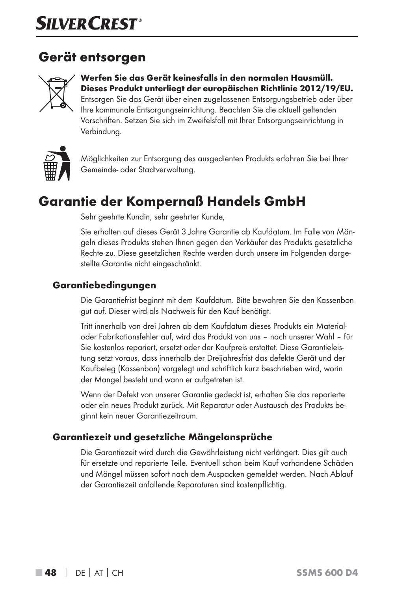### Gerät entsorgen



Werfen Sie das Gerät keinesfalls in den normalen Hausmüll. Dieses Produkt unterliegt der europäischen Richtlinie 2012/19/EU. Entsorgen Sie das Gerät über einen zugelassenen Entsorgungsbetrieb oder über Ihre kommunale Entsorgungseinrichtung. Beachten Sie die aktuell geltenden Vorschriften. Setzen Sie sich im Zweifelsfall mit Ihrer Entsorgungseinrichtung in Verbindung.



Möglichkeiten zur Entsorgung des ausgedienten Produkts erfahren Sie bei Ihrer Gemeinde- oder Stadtverwaltung.

### Garantie der Kompernaß Handels GmbH

Sehr geehrte Kundin, sehr geehrter Kunde,

Sie erhalten auf dieses Gerät 3 Jahre Garantie ab Kaufdatum. Im Falle von Mängeln dieses Produkts stehen Ihnen gegen den Verkäufer des Produkts gesetzliche Rechte zu. Diese gesetzlichen Rechte werden durch unsere im Folgenden dargestellte Garantie nicht eingeschränkt.

#### Garantiebedingungen

Die Garantiefrist beginnt mit dem Kaufdatum. Bitte bewahren Sie den Kassenbon gut auf. Dieser wird als Nachweis für den Kauf benötigt.

Tritt innerhalb von drei Jahren ab dem Kaufdatum dieses Produkts ein Materialoder Fabrikationsfehler auf, wird das Produkt von uns – nach unserer Wahl – für Sie kostenlos repariert, ersetzt oder der Kaufpreis erstattet. Diese Garantieleistung setzt voraus, dass innerhalb der Dreijahresfrist das defekte Gerät und der Kaufbeleg (Kassenbon) vorgelegt und schriftlich kurz beschrieben wird, worin der Mangel besteht und wann er aufgetreten ist.

Wenn der Defekt von unserer Garantie gedeckt ist, erhalten Sie das reparierte oder ein neues Produkt zurück. Mit Reparatur oder Austausch des Produkts beginnt kein neuer Garantiezeitraum.

#### Garantiezeit und gesetzliche Mängelansprüche

Die Garantiezeit wird durch die Gewährleistung nicht verlängert. Dies gilt auch für ersetzte und reparierte Teile. Eventuell schon beim Kauf vorhandene Schäden und Mängel müssen sofort nach dem Auspacken gemeldet werden. Nach Ablauf der Garantiezeit anfallende Reparaturen sind kostenpflichtig.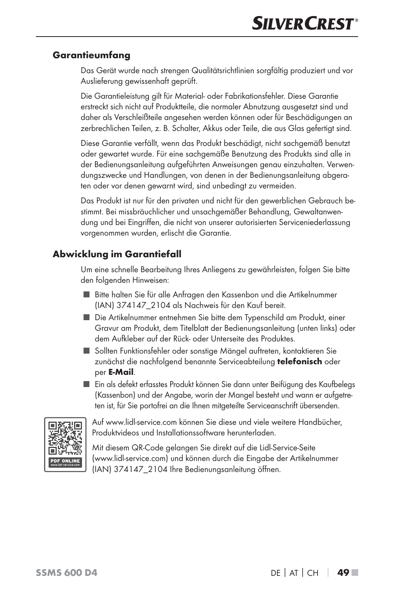#### Garantieumfang

Das Gerät wurde nach strengen Qualitätsrichtlinien sorgfältig produziert und vor Auslieferung gewissenhaft geprüft.

Die Garantieleistung gilt für Material- oder Fabrikationsfehler. Diese Garantie erstreckt sich nicht auf Produktteile, die normaler Abnutzung ausgesetzt sind und daher als Verschleißteile angesehen werden können oder für Beschädigungen an zerbrechlichen Teilen, z. B. Schalter, Akkus oder Teile, die aus Glas gefertigt sind.

Diese Garantie verfällt, wenn das Produkt beschädigt, nicht sachgemäß benutzt oder gewartet wurde. Für eine sachgemäße Benutzung des Produkts sind alle in der Bedienungsanleitung aufgeführten Anweisungen genau einzuhalten. Verwendungszwecke und Handlungen, von denen in der Bedienungsanleitung abgeraten oder vor denen gewarnt wird, sind unbedingt zu vermeiden.

Das Produkt ist nur für den privaten und nicht für den gewerblichen Gebrauch bestimmt. Bei missbräuchlicher und unsachgemäßer Behandlung, Gewaltanwendung und bei Eingriffen, die nicht von unserer autorisierten Serviceniederlassung vorgenommen wurden, erlischt die Garantie.

#### Abwicklung im Garantiefall

Um eine schnelle Bearbeitung Ihres Anliegens zu gewährleisten, folgen Sie bitte den folgenden Hinweisen:

- Bitte halten Sie für alle Anfragen den Kassenbon und die Artikelnummer (IAN) 374147\_2104 als Nachweis für den Kauf bereit.
- Die Artikelnummer entnehmen Sie bitte dem Typenschild am Produkt, einer Gravur am Produkt, dem Titelblatt der Bedienungsanleitung (unten links) oder dem Aufkleber auf der Rück- oder Unterseite des Produktes.
- Sollten Funktionsfehler oder sonstige Mängel auftreten, kontaktieren Sie zunächst die nachfolgend benannte Serviceabteilung telefonisch oder per E-Mail.
- Ein als defekt erfasstes Produkt können Sie dann unter Beifügung des Kaufbelegs (Kassenbon) und der Angabe, worin der Mangel besteht und wann er aufgetreten ist, für Sie portofrei an die Ihnen mitgeteilte Serviceanschrift übersenden.



 Auf www.lidl-service.com können Sie diese und viele weitere Handbücher, Produktvideos und Installationssoftware herunterladen.

 Mit diesem QR-Code gelangen Sie direkt auf die Lidl-Service-Seite (www.lidl-service.com) und können durch die Eingabe der Artikelnummer (IAN) 374147\_2104 Ihre Bedienungsanleitung öffnen.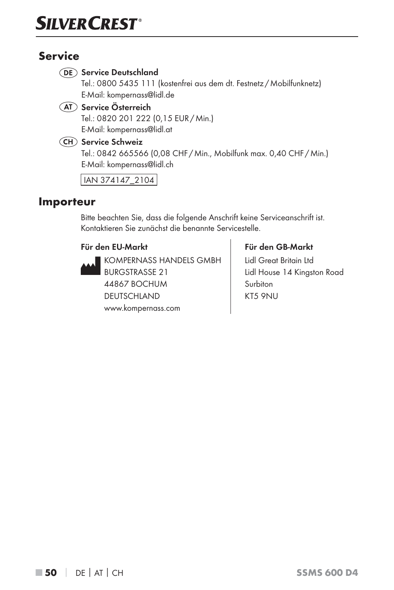# **SILVER CREST®**

### Service

 Service Deutschland Tel.: 0800 5435 111 (kostenfrei aus dem dt. Festnetz / Mobilfunknetz) E-Mail: kompernass@lidl.de Service Österreich Tel.: 0820 201 222 (0,15 EUR / Min.) E-Mail: kompernass@lidl.at (CH) Service Schweiz Tel.: 0842 665566 (0,08 CHF / Min., Mobilfunk max. 0,40 CHF / Min.) E-Mail: kompernass@lidl.ch

IAN 374147\_2104

#### Importeur

Bitte beachten Sie, dass die folgende Anschrift keine Serviceanschrift ist. Kontaktieren Sie zunächst die benannte Servicestelle.



**KOMPERNASS HANDELS GMBH** BURGSTRASSE 21 44867 BOCHUM DEUTSCHLAND www.kompernass.com

#### Für den EU-Markt Für den GB-Markt

Lidl Great Britain Ltd Lidl House 14 Kingston Road Surbiton KT5 9NU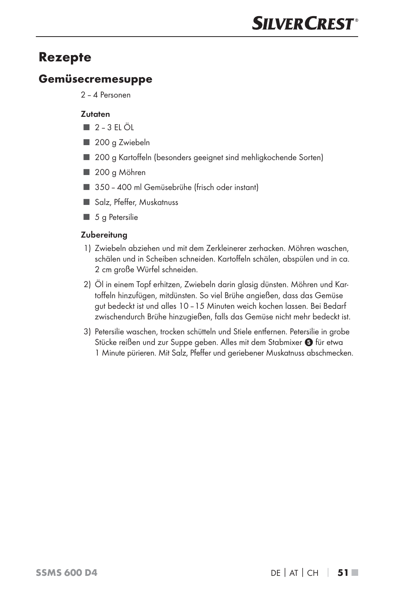### Rezepte

#### Gemüsecremesuppe

2 – 4 Personen

#### Zutaten

- 2 3 EL ÖL
- 200 g Zwiebeln
- 200 g Kartoffeln (besonders geeignet sind mehligkochende Sorten)
- 200 g Möhren
- 350 400 ml Gemüsebrühe (frisch oder instant)
- Salz, Pfeffer, Muskatnuss
- 5 g Petersilie

#### Zubereitung

- 1) Zwiebeln abziehen und mit dem Zerkleinerer zerhacken. Möhren waschen, schälen und in Scheiben schneiden. Kartoffeln schälen, abspülen und in ca. 2 cm große Würfel schneiden.
- 2) Öl in einem Topf erhitzen, Zwiebeln darin glasig dünsten. Möhren und Kartoffeln hinzufügen, mitdünsten. So viel Brühe angießen, dass das Gemüse gut bedeckt ist und alles 10 –15 Minuten weich kochen lassen. Bei Bedarf zwischendurch Brühe hinzugießen, falls das Gemüse nicht mehr bedeckt ist.
- 3) Petersilie waschen, trocken schütteln und Stiele entfernen. Petersilie in grobe Stücke reißen und zur Suppe geben. Alles mit dem Stabmixer + für etwa 1 Minute pürieren. Mit Salz, Pfeffer und geriebener Muskatnuss abschmecken.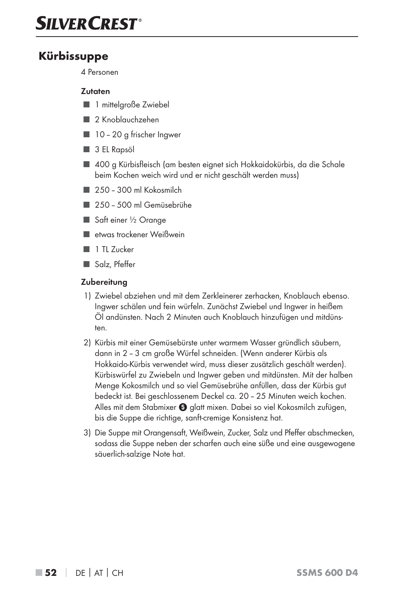### Kürbissuppe

4 Personen

#### Zutaten

- 1 mittelgroße Zwiebel
- 2 Knoblauchzehen
- 10 20 g frischer Ingwer
- 3 EL Rapsöl
- 400 g Kürbisfleisch (am besten eignet sich Hokkaidokürbis, da die Schale beim Kochen weich wird und er nicht geschält werden muss)
- 250 300 ml Kokosmilch
- 250 500 ml Gemüsebrühe
- Saft einer ½ Orange
- etwas trockener Weißwein
- 1 TL Zucker
- Salz, Pfeffer

#### Zubereitung

- 1) Zwiebel abziehen und mit dem Zerkleinerer zerhacken, Knoblauch ebenso. Ingwer schälen und fein würfeln. Zunächst Zwiebel und Ingwer in heißem Öl andünsten. Nach 2 Minuten auch Knoblauch hinzufügen und mitdünsten.
- 2) Kürbis mit einer Gemüsebürste unter warmem Wasser gründlich säubern, dann in 2 – 3 cm große Würfel schneiden. (Wenn anderer Kürbis als Hokkaido-Kürbis verwendet wird, muss dieser zusätzlich geschält werden). Kürbiswürfel zu Zwiebeln und Ingwer geben und mitdünsten. Mit der halben Menge Kokosmilch und so viel Gemüsebrühe anfüllen, dass der Kürbis gut bedeckt ist. Bei geschlossenem Deckel ca. 20 – 25 Minuten weich kochen. Alles mit dem Stabmixer @ glatt mixen. Dabei so viel Kokosmilch zufügen, bis die Suppe die richtige, sanft-cremige Konsistenz hat.
- 3) Die Suppe mit Orangensaft, Weißwein, Zucker, Salz und Pfeffer abschmecken, sodass die Suppe neben der scharfen auch eine süße und eine ausgewogene säuerlich-salzige Note hat.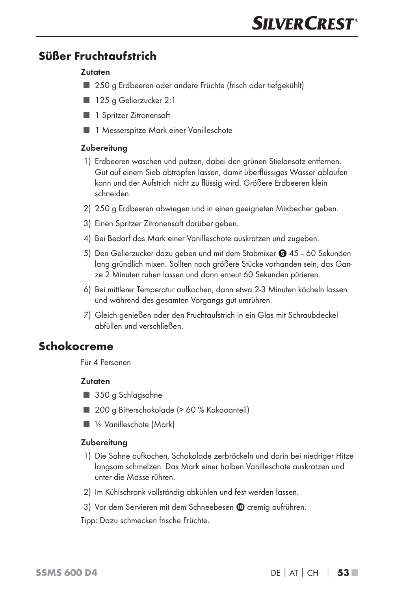### Süßer Fruchtaufstrich

#### Zutaten

- 250 g Erdbeeren oder andere Früchte (frisch oder tiefgekühlt)
- 125 g Gelierzucker 2:1
- 1 Spritzer Zitronensaft
- 1 Messerspitze Mark einer Vanilleschote

#### Zubereitung

- 1) Erdbeeren waschen und putzen, dabei den grünen Stielansatz entfernen. Gut auf einem Sieb abtropfen lassen, damit überflüssiges Wasser ablaufen kann und der Aufstrich nicht zu flüssig wird. Größere Erdbeeren klein schneiden.
- 2) 250 g Erdbeeren abwiegen und in einen geeigneten Mixbecher geben.
- 3) Einen Spritzer Zitronensaft darüber geben.
- 4) Bei Bedarf das Mark einer Vanilleschote auskratzen und zugeben.
- 5) Den Gelierzucker dazu geben und mit dem Stabmixer + 45 60 Sekunden lang gründlich mixen. Sollten noch größere Stücke vorhanden sein, das Ganze 2 Minuten ruhen lassen und dann erneut 60 Sekunden pürieren.
- 6) Bei mittlerer Temperatur aufkochen, dann etwa 2-3 Minuten köcheln lassen und während des gesamten Vorgangs gut umrühren.
- 7) Gleich genießen oder den Fruchtaufstrich in ein Glas mit Schraubdeckel abfüllen und verschließen.

#### Schokocreme

Für 4 Personen

#### **Zutaten**

- 350 g Schlagsahne
- 200 g Bitterschokolade (> 60 % Kakaoanteil)
- ½ Vanilleschote (Mark)

#### Zubereitung

- 1) Die Sahne aufkochen, Schokolade zerbröckeln und darin bei niedriger Hitze langsam schmelzen. Das Mark einer halben Vanilleschote auskratzen und unter die Masse rühren.
- 2) Im Kühlschrank vollständig abkühlen und fest werden lassen.
- 3) Vor dem Servieren mit dem Schneebesen @ cremig aufrühren.

Tipp: Dazu schmecken frische Früchte.